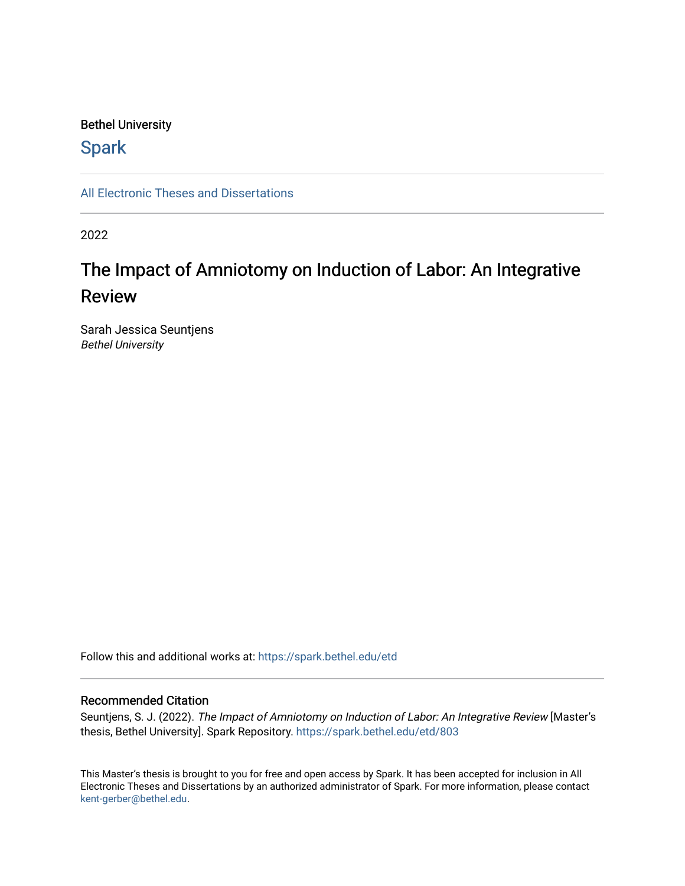### Bethel University

## **Spark**

[All Electronic Theses and Dissertations](https://spark.bethel.edu/etd) 

2022

# The Impact of Amniotomy on Induction of Labor: An Integrative Review

Sarah Jessica Seuntjens Bethel University

Follow this and additional works at: [https://spark.bethel.edu/etd](https://spark.bethel.edu/etd?utm_source=spark.bethel.edu%2Fetd%2F803&utm_medium=PDF&utm_campaign=PDFCoverPages)

#### Recommended Citation

Seuntjens, S. J. (2022). The Impact of Amniotomy on Induction of Labor: An Integrative Review [Master's thesis, Bethel University]. Spark Repository. [https://spark.bethel.edu/etd/803](https://spark.bethel.edu/etd/803?utm_source=spark.bethel.edu%2Fetd%2F803&utm_medium=PDF&utm_campaign=PDFCoverPages)

This Master's thesis is brought to you for free and open access by Spark. It has been accepted for inclusion in All Electronic Theses and Dissertations by an authorized administrator of Spark. For more information, please contact [kent-gerber@bethel.edu](mailto:kent-gerber@bethel.edu).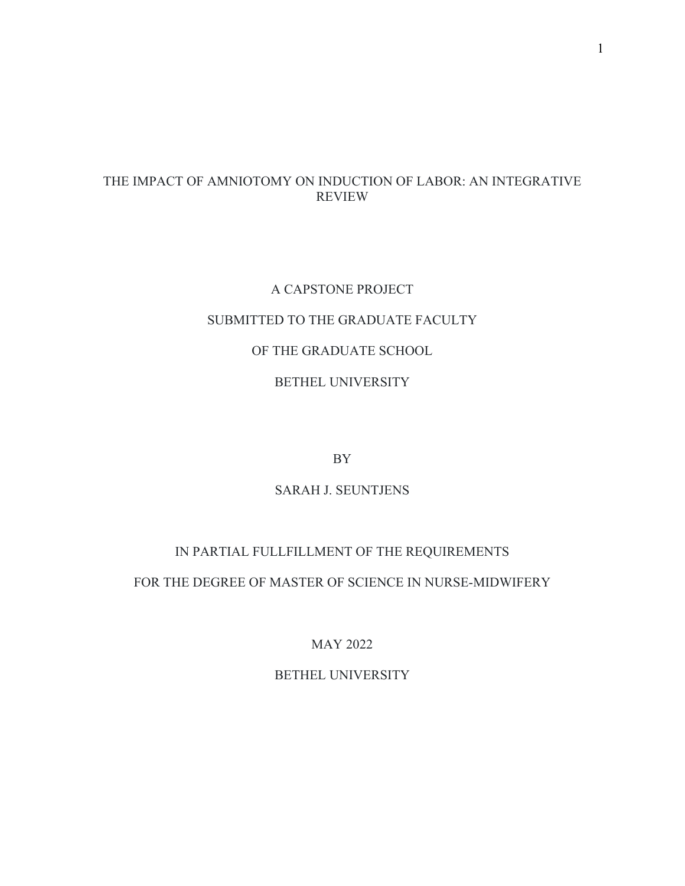## THE IMPACT OF AMNIOTOMY ON INDUCTION OF LABOR: AN INTEGRATIVE REVIEW

# A CAPSTONE PROJECT SUBMITTED TO THE GRADUATE FACULTY OF THE GRADUATE SCHOOL BETHEL UNIVERSITY

BY

## SARAH J. SEUNTJENS

## IN PARTIAL FULLFILLMENT OF THE REQUIREMENTS

FOR THE DEGREE OF MASTER OF SCIENCE IN NURSE-MIDWIFERY

MAY 2022

### BETHEL UNIVERSITY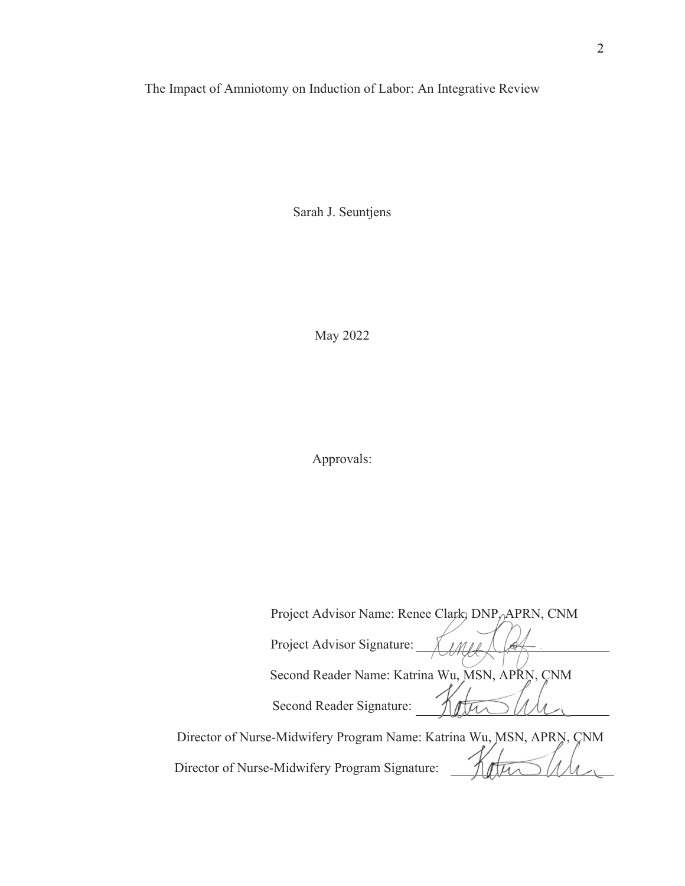## The Impact of Amniotomy on Induction of Labor: An Integrative Review

Sarah J. Seuntjens

May 2022

Approvals:

| Project Advisor Name: Renee Clark, DNP, APRN, CNM |  |
|---------------------------------------------------|--|
| Project Advisor Signature:                        |  |
| Second Reader Name: Katrina Wu, MSN, APRN, CNM    |  |
| Second Reader Signature:                          |  |
|                                                   |  |

Director of Nurse-Midwifery Program Name: Katrina Wu, MSN, APRN, CNM de Director of Nurse-Midwifery Program Signature: tte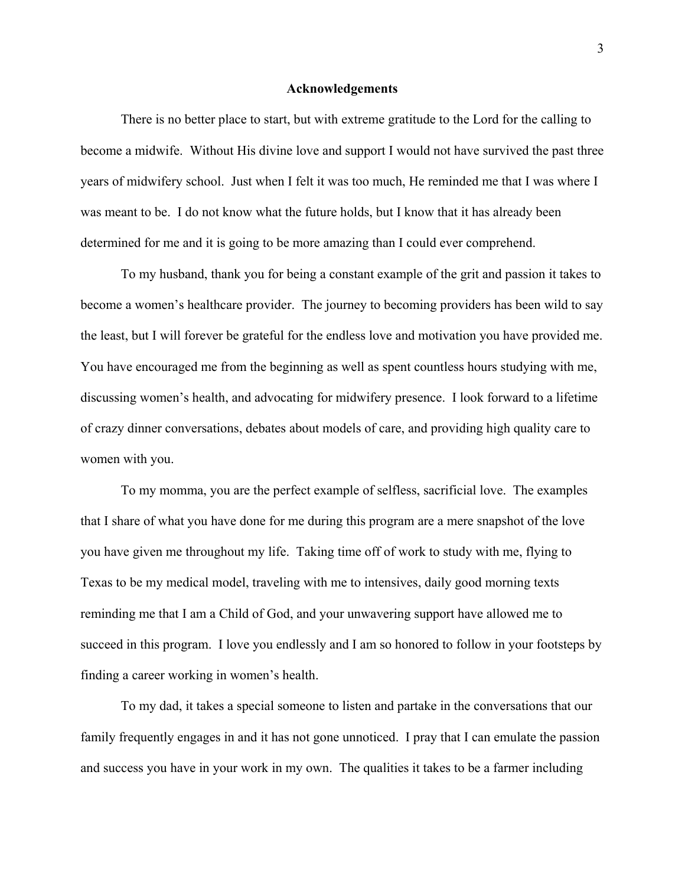#### **Acknowledgements**

 There is no better place to start, but with extreme gratitude to the Lord for the calling to become a midwife. Without His divine love and support I would not have survived the past three years of midwifery school. Just when I felt it was too much, He reminded me that I was where I was meant to be. I do not know what the future holds, but I know that it has already been determined for me and it is going to be more amazing than I could ever comprehend.

 To my husband, thank you for being a constant example of the grit and passion it takes to become a women's healthcare provider. The journey to becoming providers has been wild to say the least, but I will forever be grateful for the endless love and motivation you have provided me. You have encouraged me from the beginning as well as spent countless hours studying with me, discussing women's health, and advocating for midwifery presence. I look forward to a lifetime of crazy dinner conversations, debates about models of care, and providing high quality care to women with you.

 To my momma, you are the perfect example of selfless, sacrificial love. The examples that I share of what you have done for me during this program are a mere snapshot of the love you have given me throughout my life. Taking time off of work to study with me, flying to Texas to be my medical model, traveling with me to intensives, daily good morning texts reminding me that I am a Child of God, and your unwavering support have allowed me to succeed in this program. I love you endlessly and I am so honored to follow in your footsteps by finding a career working in women's health.

 To my dad, it takes a special someone to listen and partake in the conversations that our family frequently engages in and it has not gone unnoticed. I pray that I can emulate the passion and success you have in your work in my own. The qualities it takes to be a farmer including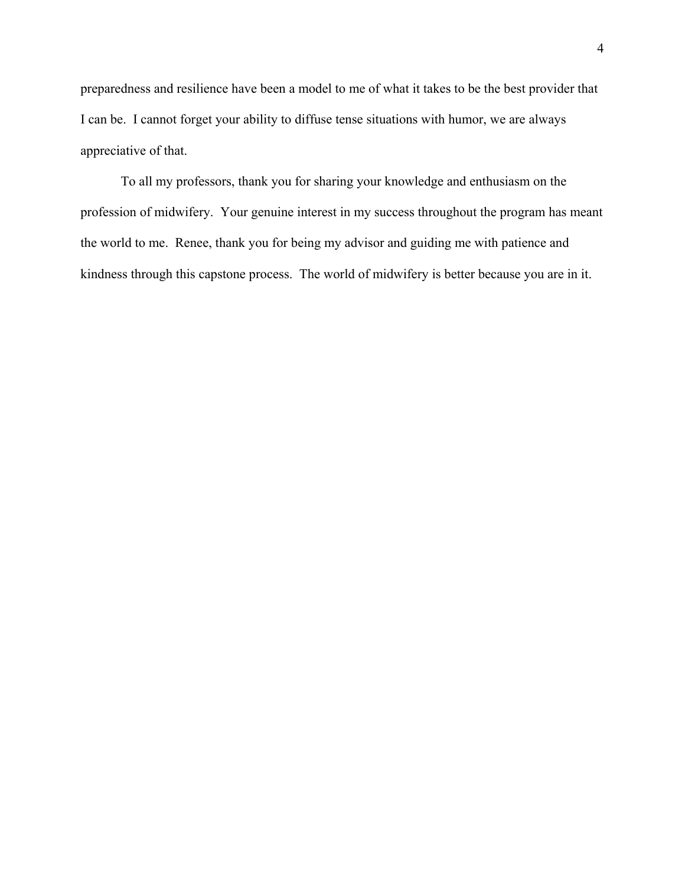preparedness and resilience have been a model to me of what it takes to be the best provider that I can be. I cannot forget your ability to diffuse tense situations with humor, we are always appreciative of that.

 To all my professors, thank you for sharing your knowledge and enthusiasm on the profession of midwifery. Your genuine interest in my success throughout the program has meant the world to me. Renee, thank you for being my advisor and guiding me with patience and kindness through this capstone process. The world of midwifery is better because you are in it.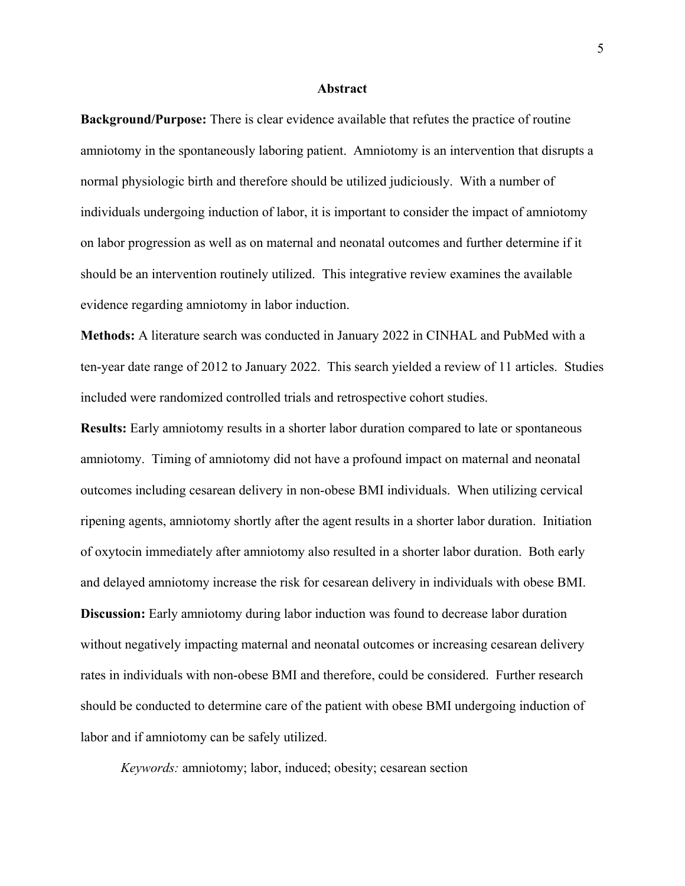#### **Abstract**

**Background/Purpose:** There is clear evidence available that refutes the practice of routine amniotomy in the spontaneously laboring patient. Amniotomy is an intervention that disrupts a normal physiologic birth and therefore should be utilized judiciously. With a number of individuals undergoing induction of labor, it is important to consider the impact of amniotomy on labor progression as well as on maternal and neonatal outcomes and further determine if it should be an intervention routinely utilized. This integrative review examines the available evidence regarding amniotomy in labor induction.

**Methods:** A literature search was conducted in January 2022 in CINHAL and PubMed with a ten-year date range of 2012 to January 2022. This search yielded a review of 11 articles. Studies included were randomized controlled trials and retrospective cohort studies.

**Results:** Early amniotomy results in a shorter labor duration compared to late or spontaneous amniotomy. Timing of amniotomy did not have a profound impact on maternal and neonatal outcomes including cesarean delivery in non-obese BMI individuals. When utilizing cervical ripening agents, amniotomy shortly after the agent results in a shorter labor duration. Initiation of oxytocin immediately after amniotomy also resulted in a shorter labor duration. Both early and delayed amniotomy increase the risk for cesarean delivery in individuals with obese BMI. **Discussion:** Early amniotomy during labor induction was found to decrease labor duration without negatively impacting maternal and neonatal outcomes or increasing cesarean delivery rates in individuals with non-obese BMI and therefore, could be considered. Further research should be conducted to determine care of the patient with obese BMI undergoing induction of labor and if amniotomy can be safely utilized.

*Keywords:* amniotomy; labor, induced; obesity; cesarean section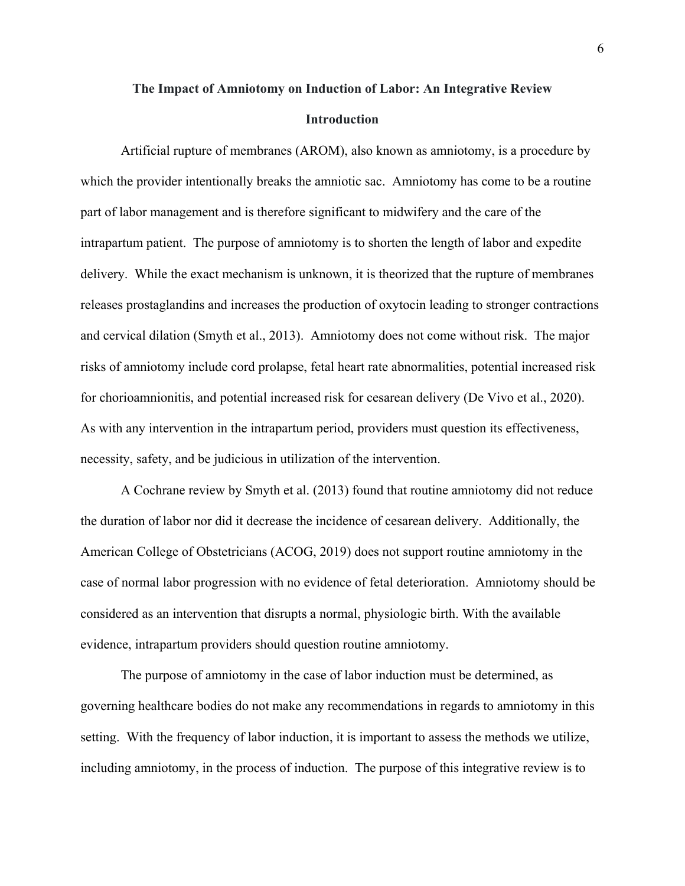# **The Impact of Amniotomy on Induction of Labor: An Integrative Review Introduction**

Artificial rupture of membranes (AROM), also known as amniotomy, is a procedure by which the provider intentionally breaks the amniotic sac. Amniotomy has come to be a routine part of labor management and is therefore significant to midwifery and the care of the intrapartum patient. The purpose of amniotomy is to shorten the length of labor and expedite delivery. While the exact mechanism is unknown, it is theorized that the rupture of membranes releases prostaglandins and increases the production of oxytocin leading to stronger contractions and cervical dilation (Smyth et al., 2013). Amniotomy does not come without risk. The major risks of amniotomy include cord prolapse, fetal heart rate abnormalities, potential increased risk for chorioamnionitis, and potential increased risk for cesarean delivery (De Vivo et al., 2020). As with any intervention in the intrapartum period, providers must question its effectiveness, necessity, safety, and be judicious in utilization of the intervention.

A Cochrane review by Smyth et al. (2013) found that routine amniotomy did not reduce the duration of labor nor did it decrease the incidence of cesarean delivery. Additionally, the American College of Obstetricians (ACOG, 2019) does not support routine amniotomy in the case of normal labor progression with no evidence of fetal deterioration. Amniotomy should be considered as an intervention that disrupts a normal, physiologic birth. With the available evidence, intrapartum providers should question routine amniotomy.

The purpose of amniotomy in the case of labor induction must be determined, as governing healthcare bodies do not make any recommendations in regards to amniotomy in this setting. With the frequency of labor induction, it is important to assess the methods we utilize, including amniotomy, in the process of induction. The purpose of this integrative review is to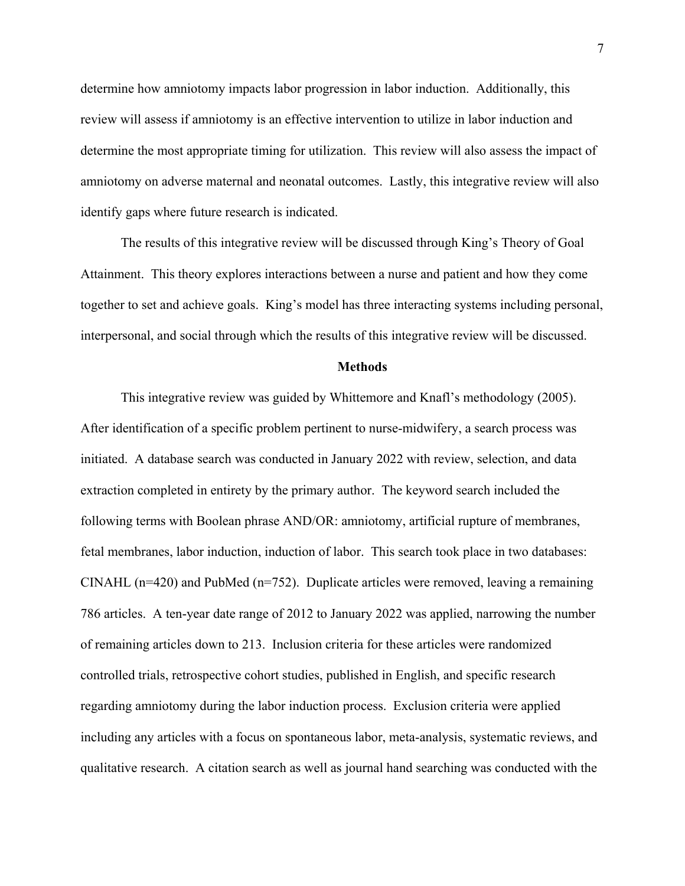determine how amniotomy impacts labor progression in labor induction. Additionally, this review will assess if amniotomy is an effective intervention to utilize in labor induction and determine the most appropriate timing for utilization. This review will also assess the impact of amniotomy on adverse maternal and neonatal outcomes. Lastly, this integrative review will also identify gaps where future research is indicated.

The results of this integrative review will be discussed through King's Theory of Goal Attainment. This theory explores interactions between a nurse and patient and how they come together to set and achieve goals. King's model has three interacting systems including personal, interpersonal, and social through which the results of this integrative review will be discussed.

#### **Methods**

This integrative review was guided by Whittemore and Knafl's methodology (2005). After identification of a specific problem pertinent to nurse-midwifery, a search process was initiated. A database search was conducted in January 2022 with review, selection, and data extraction completed in entirety by the primary author. The keyword search included the following terms with Boolean phrase AND/OR: amniotomy, artificial rupture of membranes, fetal membranes, labor induction, induction of labor. This search took place in two databases: CINAHL ( $n=420$ ) and PubMed ( $n=752$ ). Duplicate articles were removed, leaving a remaining 786 articles. A ten-year date range of 2012 to January 2022 was applied, narrowing the number of remaining articles down to 213. Inclusion criteria for these articles were randomized controlled trials, retrospective cohort studies, published in English, and specific research regarding amniotomy during the labor induction process. Exclusion criteria were applied including any articles with a focus on spontaneous labor, meta-analysis, systematic reviews, and qualitative research. A citation search as well as journal hand searching was conducted with the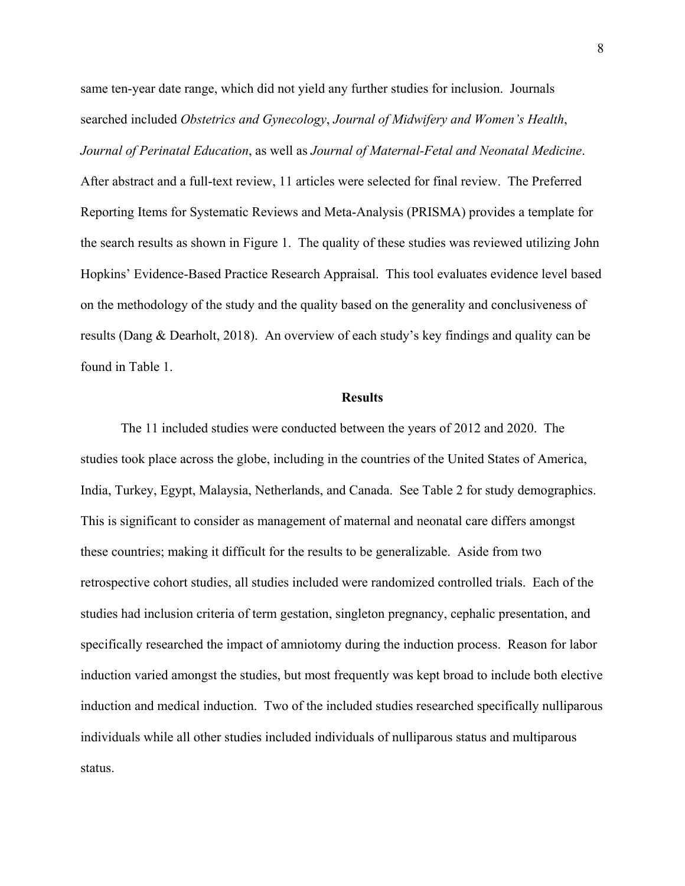same ten-year date range, which did not yield any further studies for inclusion. Journals searched included *Obstetrics and Gynecology*, *Journal of Midwifery and Women's Health*, *Journal of Perinatal Education*, as well as *Journal of Maternal-Fetal and Neonatal Medicine*. After abstract and a full-text review, 11 articles were selected for final review. The Preferred Reporting Items for Systematic Reviews and Meta-Analysis (PRISMA) provides a template for the search results as shown in Figure 1. The quality of these studies was reviewed utilizing John Hopkins' Evidence-Based Practice Research Appraisal. This tool evaluates evidence level based on the methodology of the study and the quality based on the generality and conclusiveness of results (Dang & Dearholt, 2018). An overview of each study's key findings and quality can be found in Table 1.

#### **Results**

The 11 included studies were conducted between the years of 2012 and 2020. The studies took place across the globe, including in the countries of the United States of America, India, Turkey, Egypt, Malaysia, Netherlands, and Canada. See Table 2 for study demographics. This is significant to consider as management of maternal and neonatal care differs amongst these countries; making it difficult for the results to be generalizable. Aside from two retrospective cohort studies, all studies included were randomized controlled trials. Each of the studies had inclusion criteria of term gestation, singleton pregnancy, cephalic presentation, and specifically researched the impact of amniotomy during the induction process. Reason for labor induction varied amongst the studies, but most frequently was kept broad to include both elective induction and medical induction. Two of the included studies researched specifically nulliparous individuals while all other studies included individuals of nulliparous status and multiparous status.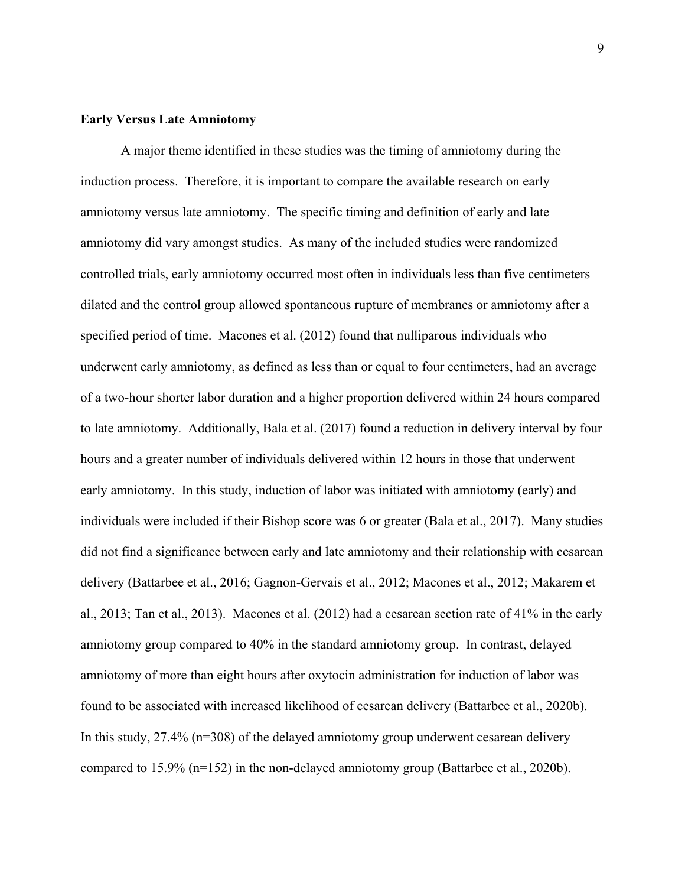### **Early Versus Late Amniotomy**

A major theme identified in these studies was the timing of amniotomy during the induction process. Therefore, it is important to compare the available research on early amniotomy versus late amniotomy. The specific timing and definition of early and late amniotomy did vary amongst studies. As many of the included studies were randomized controlled trials, early amniotomy occurred most often in individuals less than five centimeters dilated and the control group allowed spontaneous rupture of membranes or amniotomy after a specified period of time. Macones et al. (2012) found that nulliparous individuals who underwent early amniotomy, as defined as less than or equal to four centimeters, had an average of a two-hour shorter labor duration and a higher proportion delivered within 24 hours compared to late amniotomy. Additionally, Bala et al. (2017) found a reduction in delivery interval by four hours and a greater number of individuals delivered within 12 hours in those that underwent early amniotomy. In this study, induction of labor was initiated with amniotomy (early) and individuals were included if their Bishop score was 6 or greater (Bala et al., 2017). Many studies did not find a significance between early and late amniotomy and their relationship with cesarean delivery (Battarbee et al., 2016; Gagnon-Gervais et al., 2012; Macones et al., 2012; Makarem et al., 2013; Tan et al., 2013). Macones et al. (2012) had a cesarean section rate of 41% in the early amniotomy group compared to 40% in the standard amniotomy group. In contrast, delayed amniotomy of more than eight hours after oxytocin administration for induction of labor was found to be associated with increased likelihood of cesarean delivery (Battarbee et al., 2020b). In this study, 27.4% (n=308) of the delayed amniotomy group underwent cesarean delivery compared to 15.9% (n=152) in the non-delayed amniotomy group (Battarbee et al., 2020b).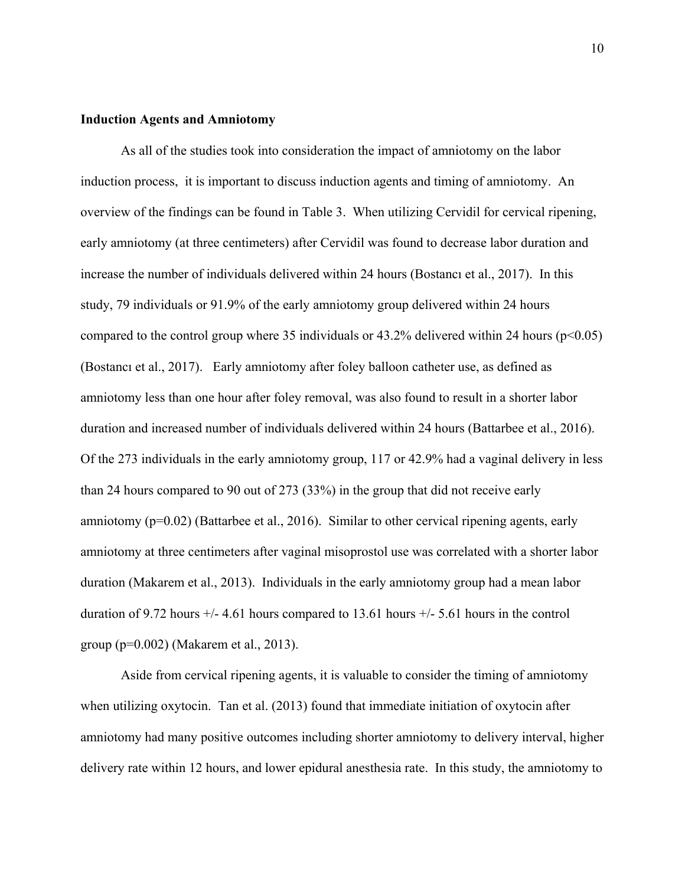#### **Induction Agents and Amniotomy**

As all of the studies took into consideration the impact of amniotomy on the labor induction process, it is important to discuss induction agents and timing of amniotomy. An overview of the findings can be found in Table 3. When utilizing Cervidil for cervical ripening, early amniotomy (at three centimeters) after Cervidil was found to decrease labor duration and increase the number of individuals delivered within 24 hours (Bostancı et al., 2017). In this study, 79 individuals or 91.9% of the early amniotomy group delivered within 24 hours compared to the control group where 35 individuals or  $43.2\%$  delivered within 24 hours ( $p<0.05$ ) (Bostancı et al., 2017). Early amniotomy after foley balloon catheter use, as defined as amniotomy less than one hour after foley removal, was also found to result in a shorter labor duration and increased number of individuals delivered within 24 hours (Battarbee et al., 2016). Of the 273 individuals in the early amniotomy group, 117 or 42.9% had a vaginal delivery in less than 24 hours compared to 90 out of 273 (33%) in the group that did not receive early amniotomy (p=0.02) (Battarbee et al., 2016). Similar to other cervical ripening agents, early amniotomy at three centimeters after vaginal misoprostol use was correlated with a shorter labor duration (Makarem et al., 2013). Individuals in the early amniotomy group had a mean labor duration of 9.72 hours  $+/- 4.61$  hours compared to 13.61 hours  $+/- 5.61$  hours in the control group (p=0.002) (Makarem et al., 2013).

Aside from cervical ripening agents, it is valuable to consider the timing of amniotomy when utilizing oxytocin. Tan et al. (2013) found that immediate initiation of oxytocin after amniotomy had many positive outcomes including shorter amniotomy to delivery interval, higher delivery rate within 12 hours, and lower epidural anesthesia rate. In this study, the amniotomy to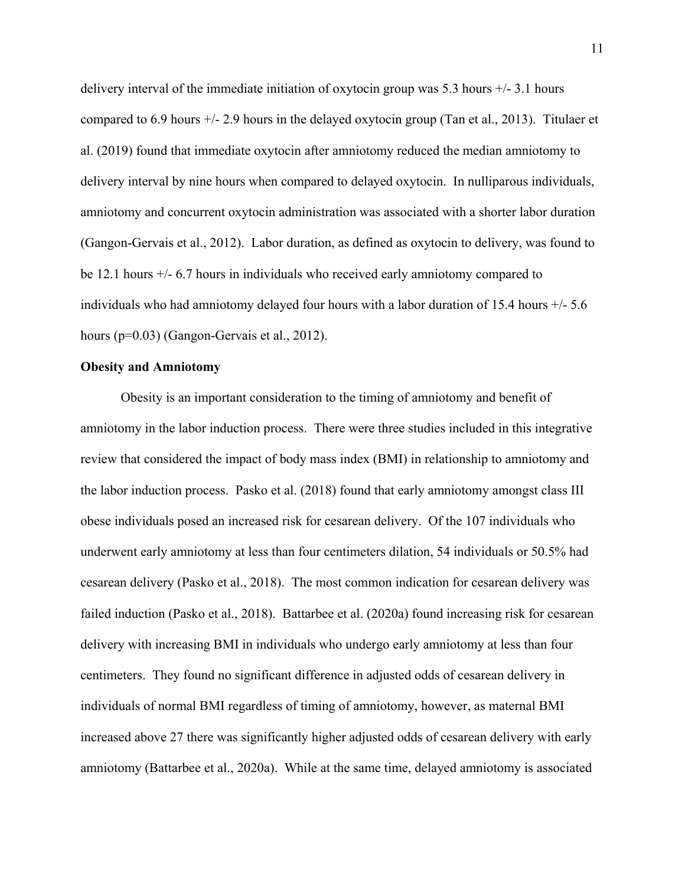delivery interval of the immediate initiation of oxytocin group was 5.3 hours +/- 3.1 hours compared to 6.9 hours +/- 2.9 hours in the delayed oxytocin group (Tan et al., 2013). Titulaer et al. (2019) found that immediate oxytocin after amniotomy reduced the median amniotomy to delivery interval by nine hours when compared to delayed oxytocin. In nulliparous individuals, amniotomy and concurrent oxytocin administration was associated with a shorter labor duration (Gangon-Gervais et al., 2012). Labor duration, as defined as oxytocin to delivery, was found to be 12.1 hours +/- 6.7 hours in individuals who received early amniotomy compared to individuals who had amniotomy delayed four hours with a labor duration of 15.4 hours +/- 5.6 hours (p=0.03) (Gangon-Gervais et al., 2012).

#### **Obesity and Amniotomy**

Obesity is an important consideration to the timing of amniotomy and benefit of amniotomy in the labor induction process. There were three studies included in this integrative review that considered the impact of body mass index (BMI) in relationship to amniotomy and the labor induction process. Pasko et al. (2018) found that early amniotomy amongst class III obese individuals posed an increased risk for cesarean delivery. Of the 107 individuals who underwent early amniotomy at less than four centimeters dilation, 54 individuals or 50.5% had cesarean delivery (Pasko et al., 2018). The most common indication for cesarean delivery was failed induction (Pasko et al., 2018). Battarbee et al. (2020a) found increasing risk for cesarean delivery with increasing BMI in individuals who undergo early amniotomy at less than four centimeters. They found no significant difference in adjusted odds of cesarean delivery in individuals of normal BMI regardless of timing of amniotomy, however, as maternal BMI increased above 27 there was significantly higher adjusted odds of cesarean delivery with early amniotomy (Battarbee et al., 2020a). While at the same time, delayed amniotomy is associated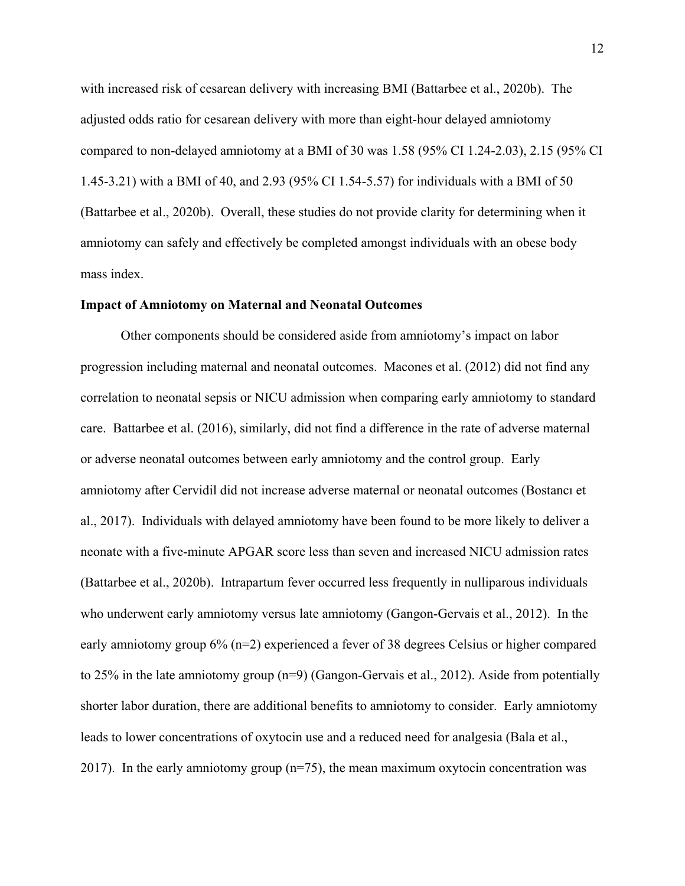with increased risk of cesarean delivery with increasing BMI (Battarbee et al., 2020b). The adjusted odds ratio for cesarean delivery with more than eight-hour delayed amniotomy compared to non-delayed amniotomy at a BMI of 30 was 1.58 (95% CI 1.24-2.03), 2.15 (95% CI 1.45-3.21) with a BMI of 40, and 2.93 (95% CI 1.54-5.57) for individuals with a BMI of 50 (Battarbee et al., 2020b). Overall, these studies do not provide clarity for determining when it amniotomy can safely and effectively be completed amongst individuals with an obese body mass index.

#### **Impact of Amniotomy on Maternal and Neonatal Outcomes**

Other components should be considered aside from amniotomy's impact on labor progression including maternal and neonatal outcomes. Macones et al. (2012) did not find any correlation to neonatal sepsis or NICU admission when comparing early amniotomy to standard care. Battarbee et al. (2016), similarly, did not find a difference in the rate of adverse maternal or adverse neonatal outcomes between early amniotomy and the control group. Early amniotomy after Cervidil did not increase adverse maternal or neonatal outcomes (Bostancı et al., 2017). Individuals with delayed amniotomy have been found to be more likely to deliver a neonate with a five-minute APGAR score less than seven and increased NICU admission rates (Battarbee et al., 2020b). Intrapartum fever occurred less frequently in nulliparous individuals who underwent early amniotomy versus late amniotomy (Gangon-Gervais et al., 2012). In the early amniotomy group 6% (n=2) experienced a fever of 38 degrees Celsius or higher compared to 25% in the late amniotomy group (n=9) (Gangon-Gervais et al., 2012). Aside from potentially shorter labor duration, there are additional benefits to amniotomy to consider. Early amniotomy leads to lower concentrations of oxytocin use and a reduced need for analgesia (Bala et al., 2017). In the early amniotomy group  $(n=75)$ , the mean maximum oxytocin concentration was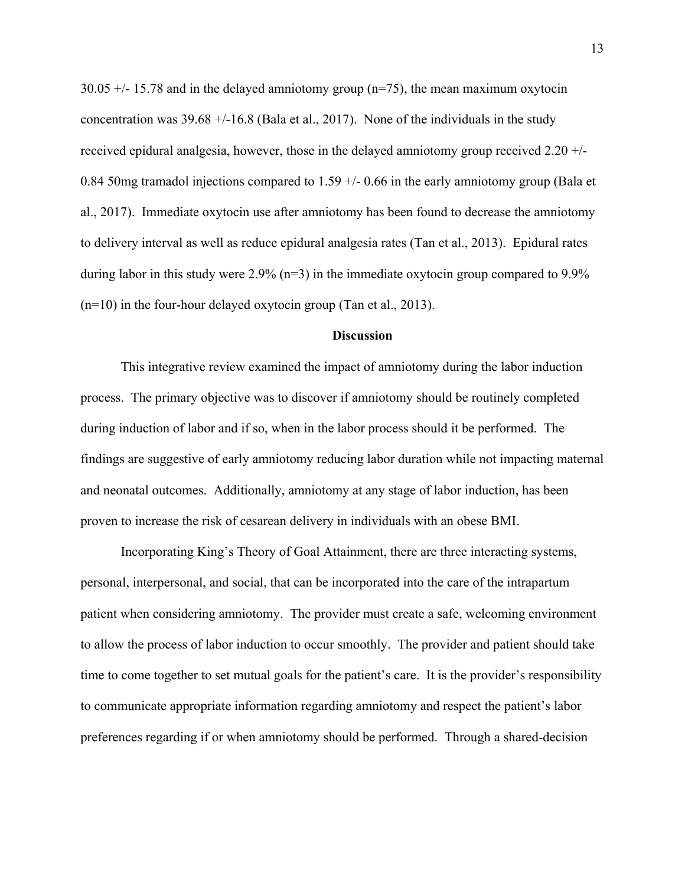30.05 +/- 15.78 and in the delayed amniotomy group (n=75), the mean maximum oxytocin concentration was 39.68 +/-16.8 (Bala et al., 2017). None of the individuals in the study received epidural analgesia, however, those in the delayed amniotomy group received 2.20 +/- 0.84 50mg tramadol injections compared to  $1.59 +/- 0.66$  in the early amniotomy group (Bala et al., 2017). Immediate oxytocin use after amniotomy has been found to decrease the amniotomy to delivery interval as well as reduce epidural analgesia rates (Tan et al., 2013). Epidural rates during labor in this study were 2.9% (n=3) in the immediate oxytocin group compared to 9.9%  $(n=10)$  in the four-hour delayed oxytocin group (Tan et al., 2013).

#### **Discussion**

 This integrative review examined the impact of amniotomy during the labor induction process. The primary objective was to discover if amniotomy should be routinely completed during induction of labor and if so, when in the labor process should it be performed. The findings are suggestive of early amniotomy reducing labor duration while not impacting maternal and neonatal outcomes. Additionally, amniotomy at any stage of labor induction, has been proven to increase the risk of cesarean delivery in individuals with an obese BMI.

Incorporating King's Theory of Goal Attainment, there are three interacting systems, personal, interpersonal, and social, that can be incorporated into the care of the intrapartum patient when considering amniotomy. The provider must create a safe, welcoming environment to allow the process of labor induction to occur smoothly. The provider and patient should take time to come together to set mutual goals for the patient's care. It is the provider's responsibility to communicate appropriate information regarding amniotomy and respect the patient's labor preferences regarding if or when amniotomy should be performed. Through a shared-decision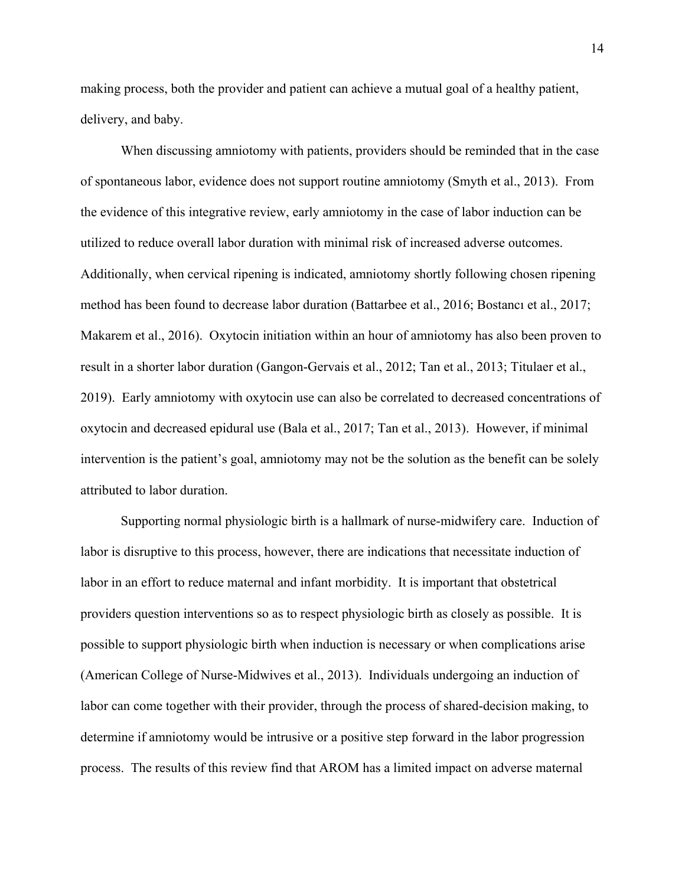making process, both the provider and patient can achieve a mutual goal of a healthy patient, delivery, and baby.

 When discussing amniotomy with patients, providers should be reminded that in the case of spontaneous labor, evidence does not support routine amniotomy (Smyth et al., 2013). From the evidence of this integrative review, early amniotomy in the case of labor induction can be utilized to reduce overall labor duration with minimal risk of increased adverse outcomes. Additionally, when cervical ripening is indicated, amniotomy shortly following chosen ripening method has been found to decrease labor duration (Battarbee et al., 2016; Bostancı et al., 2017; Makarem et al., 2016). Oxytocin initiation within an hour of amniotomy has also been proven to result in a shorter labor duration (Gangon-Gervais et al., 2012; Tan et al., 2013; Titulaer et al., 2019). Early amniotomy with oxytocin use can also be correlated to decreased concentrations of oxytocin and decreased epidural use (Bala et al., 2017; Tan et al., 2013). However, if minimal intervention is the patient's goal, amniotomy may not be the solution as the benefit can be solely attributed to labor duration.

 Supporting normal physiologic birth is a hallmark of nurse-midwifery care. Induction of labor is disruptive to this process, however, there are indications that necessitate induction of labor in an effort to reduce maternal and infant morbidity. It is important that obstetrical providers question interventions so as to respect physiologic birth as closely as possible. It is possible to support physiologic birth when induction is necessary or when complications arise (American College of Nurse-Midwives et al., 2013). Individuals undergoing an induction of labor can come together with their provider, through the process of shared-decision making, to determine if amniotomy would be intrusive or a positive step forward in the labor progression process. The results of this review find that AROM has a limited impact on adverse maternal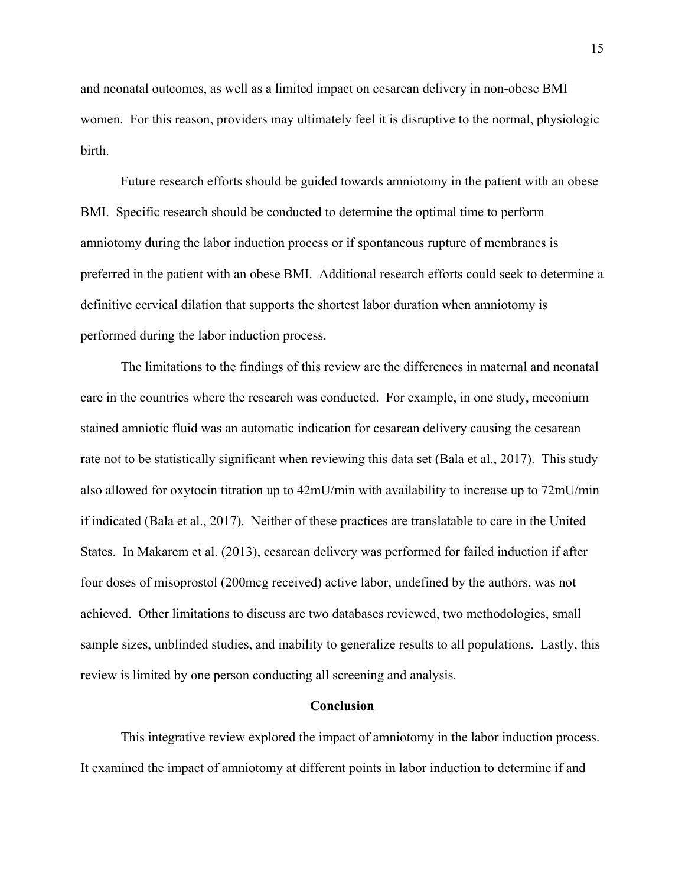and neonatal outcomes, as well as a limited impact on cesarean delivery in non-obese BMI women. For this reason, providers may ultimately feel it is disruptive to the normal, physiologic birth.

 Future research efforts should be guided towards amniotomy in the patient with an obese BMI. Specific research should be conducted to determine the optimal time to perform amniotomy during the labor induction process or if spontaneous rupture of membranes is preferred in the patient with an obese BMI. Additional research efforts could seek to determine a definitive cervical dilation that supports the shortest labor duration when amniotomy is performed during the labor induction process.

 The limitations to the findings of this review are the differences in maternal and neonatal care in the countries where the research was conducted. For example, in one study, meconium stained amniotic fluid was an automatic indication for cesarean delivery causing the cesarean rate not to be statistically significant when reviewing this data set (Bala et al., 2017). This study also allowed for oxytocin titration up to 42mU/min with availability to increase up to 72mU/min if indicated (Bala et al., 2017). Neither of these practices are translatable to care in the United States. In Makarem et al. (2013), cesarean delivery was performed for failed induction if after four doses of misoprostol (200mcg received) active labor, undefined by the authors, was not achieved. Other limitations to discuss are two databases reviewed, two methodologies, small sample sizes, unblinded studies, and inability to generalize results to all populations. Lastly, this review is limited by one person conducting all screening and analysis.

#### **Conclusion**

This integrative review explored the impact of amniotomy in the labor induction process. It examined the impact of amniotomy at different points in labor induction to determine if and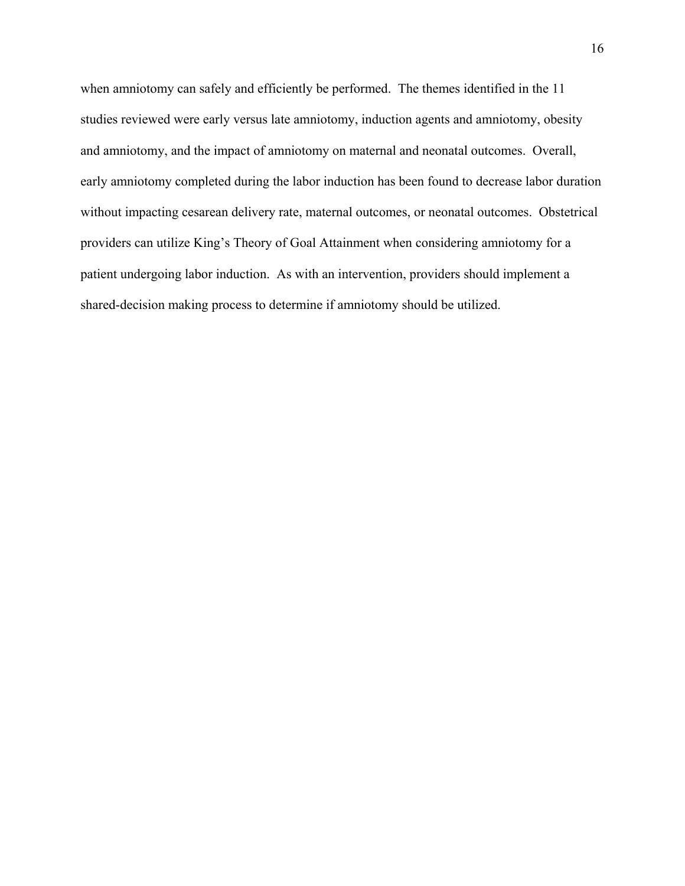when amniotomy can safely and efficiently be performed. The themes identified in the 11 studies reviewed were early versus late amniotomy, induction agents and amniotomy, obesity and amniotomy, and the impact of amniotomy on maternal and neonatal outcomes. Overall, early amniotomy completed during the labor induction has been found to decrease labor duration without impacting cesarean delivery rate, maternal outcomes, or neonatal outcomes. Obstetrical providers can utilize King's Theory of Goal Attainment when considering amniotomy for a patient undergoing labor induction. As with an intervention, providers should implement a shared-decision making process to determine if amniotomy should be utilized.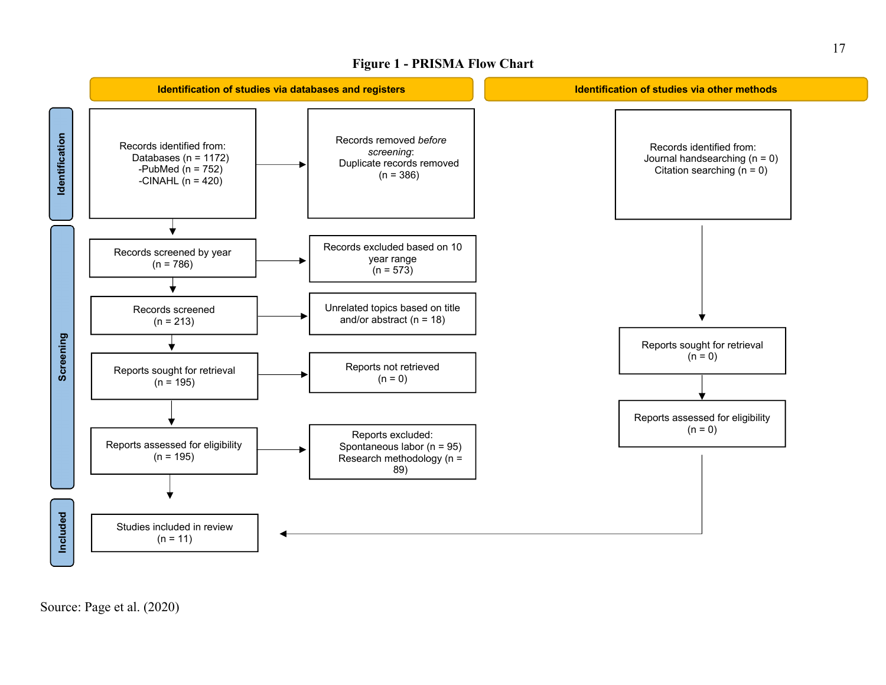### **Figure 1 - PRISMA Flow Chart**



Source: Page et al. (2020)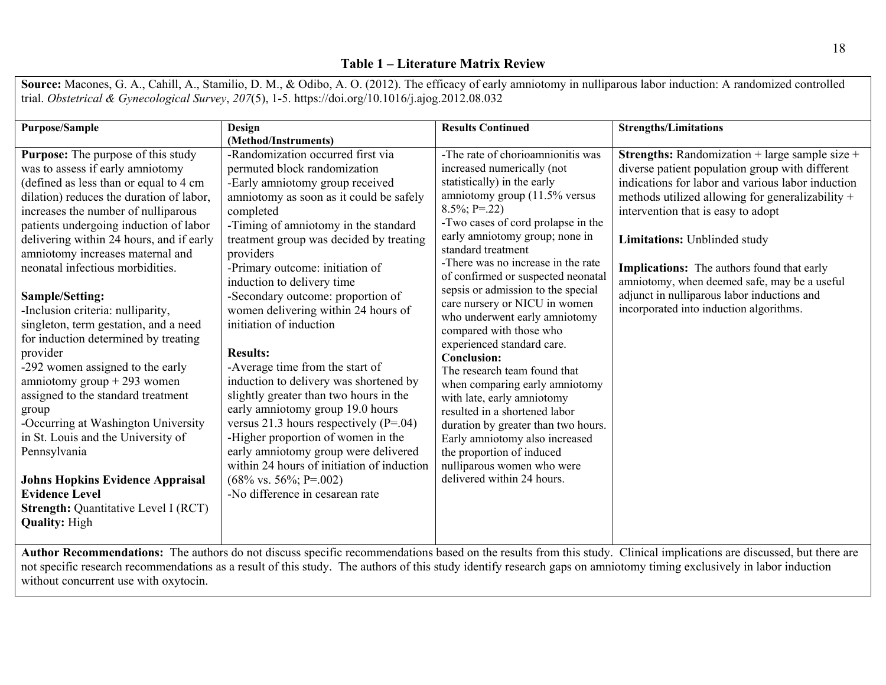### **Table 1 – Literature Matrix Review**

**Source:** Macones, G. A., Cahill, A., Stamilio, D. M., & Odibo, A. O. (2012). The efficacy of early amniotomy in nulliparous labor induction: A randomized controlled trial. *Obstetrical & Gynecological Survey*, *207*(5), 1-5. https://doi.org/10.1016/j.ajog.2012.08.032

| <b>Purpose/Sample</b>                                                        | Design                                               | <b>Results Continued</b>                                 | <b>Strengths/Limitations</b>                          |
|------------------------------------------------------------------------------|------------------------------------------------------|----------------------------------------------------------|-------------------------------------------------------|
|                                                                              | (Method/Instruments)                                 |                                                          |                                                       |
| <b>Purpose:</b> The purpose of this study                                    | -Randomization occurred first via                    | -The rate of chorioamnionitis was                        | <b>Strengths:</b> Randomization + large sample size + |
| was to assess if early amniotomy                                             | permuted block randomization                         | increased numerically (not                               | diverse patient population group with different       |
| (defined as less than or equal to 4 cm                                       | -Early amniotomy group received                      | statistically) in the early                              | indications for labor and various labor induction     |
| dilation) reduces the duration of labor,                                     | amniotomy as soon as it could be safely              | amniotomy group (11.5% versus                            | methods utilized allowing for generalizability +      |
| increases the number of nulliparous                                          | completed                                            | $8.5\%; P=.22$                                           | intervention that is easy to adopt                    |
| patients undergoing induction of labor                                       | -Timing of amniotomy in the standard                 | -Two cases of cord prolapse in the                       |                                                       |
| delivering within 24 hours, and if early<br>amniotomy increases maternal and | treatment group was decided by treating<br>providers | early amniotomy group; none in<br>standard treatment     | Limitations: Unblinded study                          |
| neonatal infectious morbidities.                                             | -Primary outcome: initiation of                      | -There was no increase in the rate                       | <b>Implications:</b> The authors found that early     |
|                                                                              | induction to delivery time                           | of confirmed or suspected neonatal                       | amniotomy, when deemed safe, may be a useful          |
| <b>Sample/Setting:</b>                                                       | -Secondary outcome: proportion of                    | sepsis or admission to the special                       | adjunct in nulliparous labor inductions and           |
| -Inclusion criteria: nulliparity,                                            | women delivering within 24 hours of                  | care nursery or NICU in women                            | incorporated into induction algorithms.               |
| singleton, term gestation, and a need                                        | initiation of induction                              | who underwent early amniotomy                            |                                                       |
| for induction determined by treating                                         |                                                      | compared with those who                                  |                                                       |
| provider                                                                     | <b>Results:</b>                                      | experienced standard care.                               |                                                       |
| -292 women assigned to the early                                             | -Average time from the start of                      | <b>Conclusion:</b>                                       |                                                       |
| amniotomy group $+293$ women                                                 | induction to delivery was shortened by               | The research team found that                             |                                                       |
|                                                                              |                                                      | when comparing early amniotomy                           |                                                       |
| assigned to the standard treatment                                           | slightly greater than two hours in the               | with late, early amniotomy                               |                                                       |
| group                                                                        | early amniotomy group 19.0 hours                     | resulted in a shortened labor                            |                                                       |
| -Occurring at Washington University                                          | versus 21.3 hours respectively $(P=.04)$             | duration by greater than two hours.                      |                                                       |
| in St. Louis and the University of                                           | -Higher proportion of women in the                   | Early amniotomy also increased                           |                                                       |
| Pennsylvania                                                                 | early amniotomy group were delivered                 | the proportion of induced                                |                                                       |
|                                                                              | within 24 hours of initiation of induction           | nulliparous women who were<br>delivered within 24 hours. |                                                       |
| <b>Johns Hopkins Evidence Appraisal</b>                                      | $(68\% \text{ vs. } 56\%; \text{ P} = 0.002)$        |                                                          |                                                       |
| <b>Evidence Level</b>                                                        | -No difference in cesarean rate                      |                                                          |                                                       |
| <b>Strength: Quantitative Level I (RCT)</b>                                  |                                                      |                                                          |                                                       |
| <b>Quality: High</b>                                                         |                                                      |                                                          |                                                       |
|                                                                              |                                                      |                                                          |                                                       |

**Author Recommendations:** The authors do not discuss specific recommendations based on the results from this study. Clinical implications are discussed, but there are not specific research recommendations as a result of this study. The authors of this study identify research gaps on amniotomy timing exclusively in labor induction without concurrent use with oxytocin.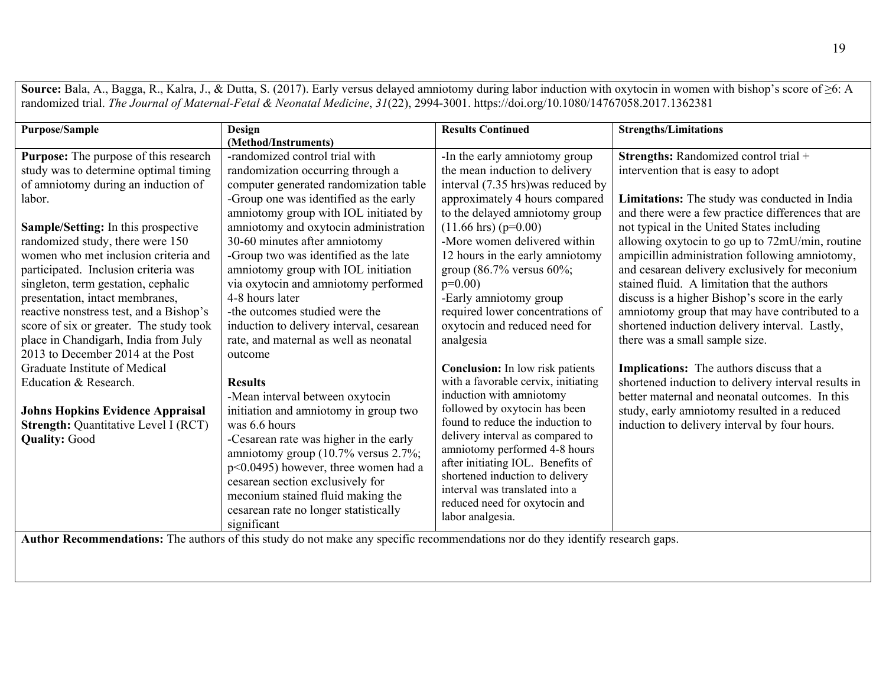**Source:** Bala, A., Bagga, R., Kalra, J., & Dutta, S. (2017). Early versus delayed amniotomy during labor induction with oxytocin in women with bishop's score of ≥6: A randomized trial. *The Journal of Maternal-Fetal & Neonatal Medicine*, *31*(22), 2994-3001. https://doi.org/10.1080/14767058.2017.1362381

| Limitations: The study was conducted in India       |
|-----------------------------------------------------|
| and there were a few practice differences that are  |
|                                                     |
| allowing oxytocin to go up to 72mU/min, routine     |
| ampicillin administration following amniotomy,      |
| and cesarean delivery exclusively for meconium      |
|                                                     |
| discuss is a higher Bishop's score in the early     |
| amniotomy group that may have contributed to a      |
| shortened induction delivery interval. Lastly,      |
|                                                     |
|                                                     |
|                                                     |
| shortened induction to delivery interval results in |
| better maternal and neonatal outcomes. In this      |
| study, early amniotomy resulted in a reduced        |
|                                                     |
|                                                     |
|                                                     |
|                                                     |
|                                                     |
|                                                     |
|                                                     |
|                                                     |
|                                                     |

**Author Recommendations:** The authors of this study do not make any specific recommendations nor do they identify research gaps.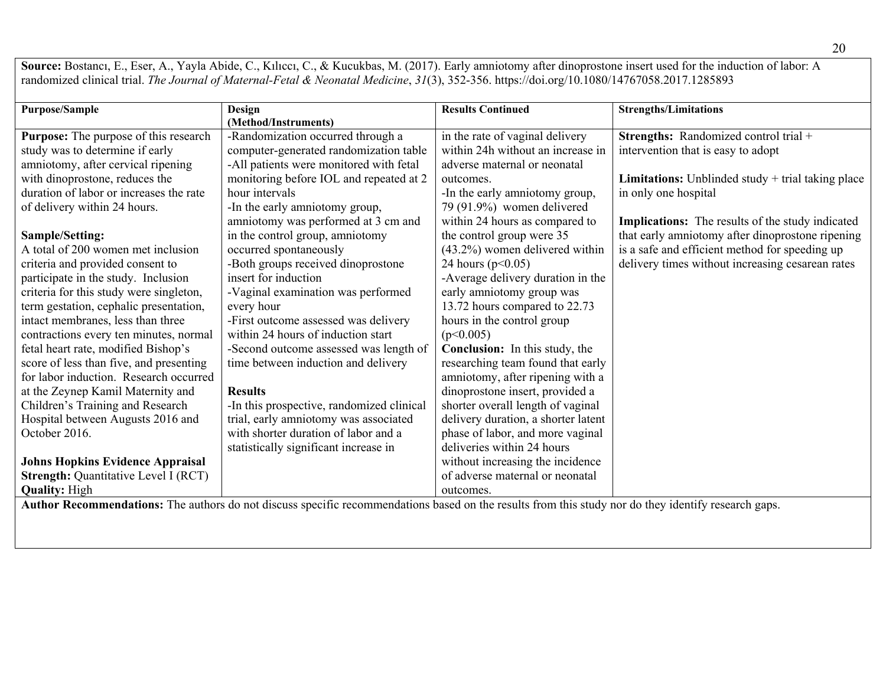Source: Bostancı, E., Eser, A., Yayla Abide, C., Kılıccı, C., & Kucukbas, M. (2017). Early amniotomy after dinoprostone insert used for the induction of labor: A randomized clinical trial. *The Journal of Maternal-Fetal & Neonatal Medicine*, *31*(3), 352-356. https://doi.org/10.1080/14767058.2017.1285893

| <b>Purpose/Sample</b>                       | Design                                    | <b>Results Continued</b>            | <b>Strengths/Limitations</b>                               |
|---------------------------------------------|-------------------------------------------|-------------------------------------|------------------------------------------------------------|
|                                             | (Method/Instruments)                      |                                     |                                                            |
| Purpose: The purpose of this research       | -Randomization occurred through a         | in the rate of vaginal delivery     | Strengths: Randomized control trial +                      |
| study was to determine if early             | computer-generated randomization table    | within 24h without an increase in   | intervention that is easy to adopt                         |
| amniotomy, after cervical ripening          | -All patients were monitored with fetal   | adverse maternal or neonatal        |                                                            |
| with dinoprostone, reduces the              | monitoring before IOL and repeated at 2   | outcomes.                           | <b>Limitations:</b> Unblinded study $+$ trial taking place |
| duration of labor or increases the rate     | hour intervals                            | -In the early amniotomy group,      | in only one hospital                                       |
| of delivery within 24 hours.                | -In the early amniotomy group,            | 79 (91.9%) women delivered          |                                                            |
|                                             | amniotomy was performed at 3 cm and       | within 24 hours as compared to      | <b>Implications:</b> The results of the study indicated    |
| Sample/Setting:                             | in the control group, amniotomy           | the control group were 35           | that early amniotomy after dinoprostone ripening           |
| A total of 200 women met inclusion          | occurred spontaneously                    | $(43.2\%)$ women delivered within   | is a safe and efficient method for speeding up             |
| criteria and provided consent to            | -Both groups received dinoprostone        | 24 hours ( $p<0.05$ )               | delivery times without increasing cesarean rates           |
| participate in the study. Inclusion         | insert for induction                      | -Average delivery duration in the   |                                                            |
| criteria for this study were singleton,     | -Vaginal examination was performed        | early amniotomy group was           |                                                            |
| term gestation, cephalic presentation,      | every hour                                | 13.72 hours compared to 22.73       |                                                            |
| intact membranes, less than three           | -First outcome assessed was delivery      | hours in the control group          |                                                            |
| contractions every ten minutes, normal      | within 24 hours of induction start        | (p<0.005)                           |                                                            |
| fetal heart rate, modified Bishop's         | -Second outcome assessed was length of    | Conclusion: In this study, the      |                                                            |
| score of less than five, and presenting     | time between induction and delivery       | researching team found that early   |                                                            |
| for labor induction. Research occurred      |                                           | amniotomy, after ripening with a    |                                                            |
| at the Zeynep Kamil Maternity and           | <b>Results</b>                            | dinoprostone insert, provided a     |                                                            |
| Children's Training and Research            | -In this prospective, randomized clinical | shorter overall length of vaginal   |                                                            |
| Hospital between Augusts 2016 and           | trial, early amniotomy was associated     | delivery duration, a shorter latent |                                                            |
| October 2016.                               | with shorter duration of labor and a      | phase of labor, and more vaginal    |                                                            |
|                                             | statistically significant increase in     | deliveries within 24 hours          |                                                            |
| <b>Johns Hopkins Evidence Appraisal</b>     |                                           | without increasing the incidence    |                                                            |
| <b>Strength: Quantitative Level I (RCT)</b> |                                           | of adverse maternal or neonatal     |                                                            |
| <b>Quality: High</b>                        |                                           | outcomes.                           |                                                            |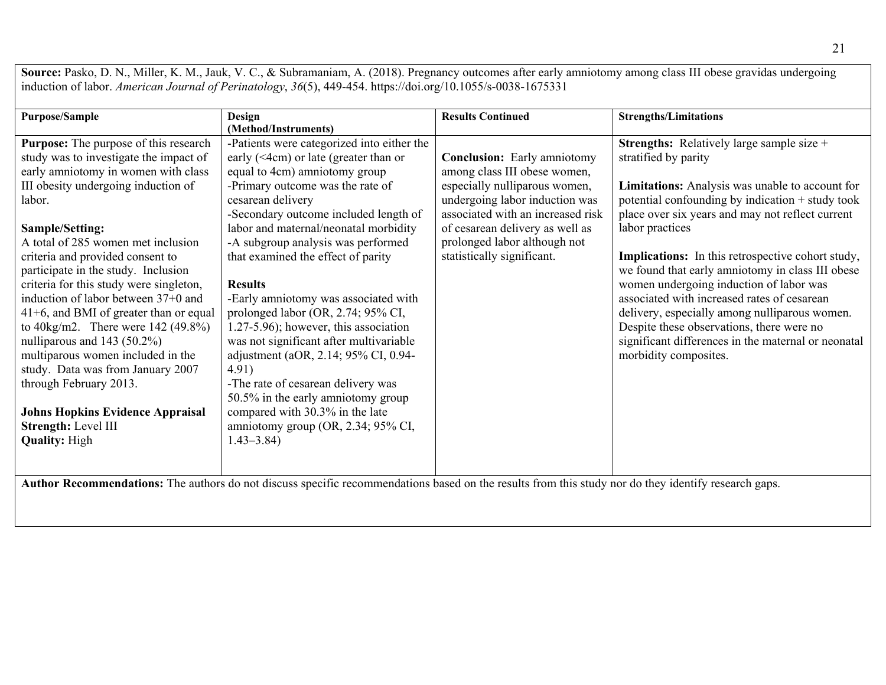Source: Pasko, D. N., Miller, K. M., Jauk, V. C., & Subramaniam, A. (2018). Pregnancy outcomes after early amniotomy among class III obese gravidas undergoing induction of labor. *American Journal of Perinatology*, *36*(5), 449-454. https://doi.org/10.1055/s-0038-1675331

| <b>Purpose/Sample</b>                        | Design                                       | <b>Results Continued</b>           | <b>Strengths/Limitations</b>                             |
|----------------------------------------------|----------------------------------------------|------------------------------------|----------------------------------------------------------|
|                                              | (Method/Instruments)                         |                                    |                                                          |
| <b>Purpose:</b> The purpose of this research | -Patients were categorized into either the   |                                    | <b>Strengths:</b> Relatively large sample size +         |
| study was to investigate the impact of       | early ( $\leq$ 4cm) or late (greater than or | <b>Conclusion:</b> Early amniotomy | stratified by parity                                     |
| early amniotomy in women with class          | equal to 4cm) amniotomy group                | among class III obese women,       |                                                          |
| III obesity undergoing induction of          | -Primary outcome was the rate of             | especially nulliparous women,      | Limitations: Analysis was unable to account for          |
| labor.                                       | cesarean delivery                            | undergoing labor induction was     | potential confounding by indication + study took         |
|                                              | -Secondary outcome included length of        | associated with an increased risk  | place over six years and may not reflect current         |
| Sample/Setting:                              | labor and maternal/neonatal morbidity        | of cesarean delivery as well as    | labor practices                                          |
| A total of 285 women met inclusion           | -A subgroup analysis was performed           | prolonged labor although not       |                                                          |
| criteria and provided consent to             | that examined the effect of parity           | statistically significant.         | <b>Implications:</b> In this retrospective cohort study, |
| participate in the study. Inclusion          |                                              |                                    | we found that early amniotomy in class III obese         |
| criteria for this study were singleton,      | <b>Results</b>                               |                                    | women undergoing induction of labor was                  |
| induction of labor between 37+0 and          | -Early amniotomy was associated with         |                                    | associated with increased rates of cesarean              |
| 41+6, and BMI of greater than or equal       | prolonged labor (OR, 2.74; 95% CI,           |                                    | delivery, especially among nulliparous women.            |
| to $40\text{kg/m2}$ . There were 142 (49.8%) | 1.27-5.96); however, this association        |                                    | Despite these observations, there were no                |
| nulliparous and $143$ (50.2%)                | was not significant after multivariable      |                                    | significant differences in the maternal or neonatal      |
| multiparous women included in the            | adjustment (aOR, 2.14; 95% CI, 0.94-         |                                    | morbidity composites.                                    |
| study. Data was from January 2007            | 4.91)                                        |                                    |                                                          |
| through February 2013.                       | -The rate of cesarean delivery was           |                                    |                                                          |
|                                              | 50.5% in the early amniotomy group           |                                    |                                                          |
| <b>Johns Hopkins Evidence Appraisal</b>      | compared with 30.3% in the late              |                                    |                                                          |
| Strength: Level III                          | amniotomy group (OR, 2.34; 95% CI,           |                                    |                                                          |
| <b>Quality: High</b>                         | $1.43 - 3.84$                                |                                    |                                                          |
|                                              |                                              |                                    |                                                          |
|                                              |                                              |                                    |                                                          |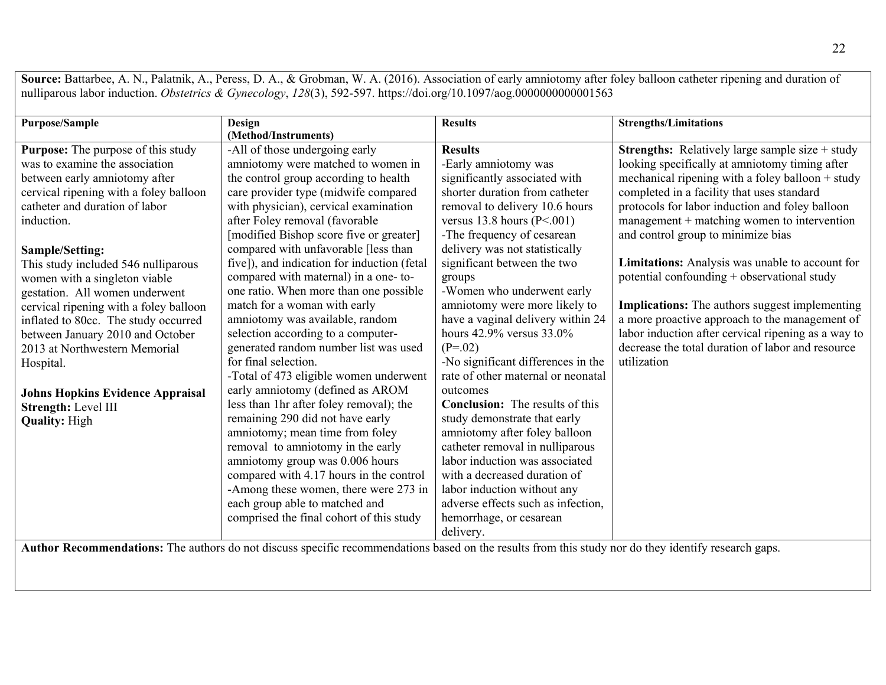Source: Battarbee, A. N., Palatnik, A., Peress, D. A., & Grobman, W. A. (2016). Association of early amniotomy after foley balloon catheter ripening and duration of nulliparous labor induction. *Obstetrics & Gynecology*, *128*(3), 592-597. https://doi.org/10.1097/aog.0000000000001563

| <b>Purpose/Sample</b>                     | Design                                      | <b>Results</b>                         | <b>Strengths/Limitations</b>                             |
|-------------------------------------------|---------------------------------------------|----------------------------------------|----------------------------------------------------------|
|                                           | (Method/Instruments)                        |                                        |                                                          |
| <b>Purpose:</b> The purpose of this study | -All of those undergoing early              | <b>Results</b>                         | <b>Strengths:</b> Relatively large sample size $+$ study |
| was to examine the association            | amniotomy were matched to women in          | -Early amniotomy was                   | looking specifically at amniotomy timing after           |
| between early amniotomy after             | the control group according to health       | significantly associated with          | mechanical ripening with a foley balloon $+$ study       |
| cervical ripening with a foley balloon    | care provider type (midwife compared        | shorter duration from catheter         | completed in a facility that uses standard               |
| catheter and duration of labor            | with physician), cervical examination       | removal to delivery 10.6 hours         | protocols for labor induction and foley balloon          |
| induction.                                | after Foley removal (favorable              | versus $13.8$ hours (P<.001)           | management + matching women to intervention              |
|                                           | [modified Bishop score five or greater]     | -The frequency of cesarean             | and control group to minimize bias                       |
| Sample/Setting:                           | compared with unfavorable [less than        | delivery was not statistically         |                                                          |
| This study included 546 nulliparous       | five]), and indication for induction (fetal | significant between the two            | Limitations: Analysis was unable to account for          |
| women with a singleton viable             | compared with maternal) in a one-to-        | groups                                 | potential confounding + observational study              |
| gestation. All women underwent            | one ratio. When more than one possible      | -Women who underwent early             |                                                          |
| cervical ripening with a foley balloon    | match for a woman with early                | amniotomy were more likely to          | <b>Implications:</b> The authors suggest implementing    |
| inflated to 80cc. The study occurred      | amniotomy was available, random             | have a vaginal delivery within 24      | a more proactive approach to the management of           |
| between January 2010 and October          | selection according to a computer-          | hours 42.9% versus 33.0%               | labor induction after cervical ripening as a way to      |
| 2013 at Northwestern Memorial             | generated random number list was used       | $(P=.02)$                              | decrease the total duration of labor and resource        |
| Hospital.                                 | for final selection.                        | -No significant differences in the     | utilization                                              |
|                                           | -Total of 473 eligible women underwent      | rate of other maternal or neonatal     |                                                          |
| <b>Johns Hopkins Evidence Appraisal</b>   | early amniotomy (defined as AROM            | outcomes                               |                                                          |
| Strength: Level III                       | less than 1hr after foley removal); the     | <b>Conclusion:</b> The results of this |                                                          |
| <b>Quality: High</b>                      | remaining 290 did not have early            | study demonstrate that early           |                                                          |
|                                           | amniotomy; mean time from foley             | amniotomy after foley balloon          |                                                          |
|                                           | removal to amniotomy in the early           | catheter removal in nulliparous        |                                                          |
|                                           | amniotomy group was 0.006 hours             | labor induction was associated         |                                                          |
|                                           | compared with 4.17 hours in the control     | with a decreased duration of           |                                                          |
|                                           | -Among these women, there were 273 in       | labor induction without any            |                                                          |
|                                           | each group able to matched and              | adverse effects such as infection,     |                                                          |
|                                           | comprised the final cohort of this study    | hemorrhage, or cesarean                |                                                          |
|                                           |                                             | delivery.                              |                                                          |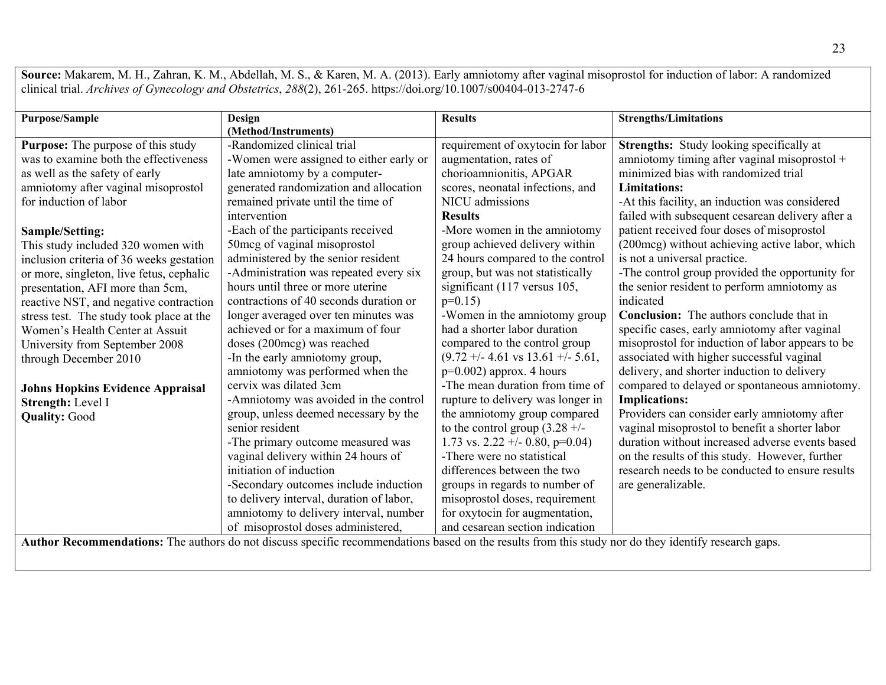**Source:** Makarem, M. H., Zahran, K. M., Abdellah, M. S., & Karen, M. A. (2013). Early amniotomy after vaginal misoprostol for induction of labor: A randomized clinical trial. *Archives of Gynecology and Obstetrics*, *288*(2), 261-265. https://doi.org/10.1007/s00404-013-2747-6

| <b>Purpose/Sample</b>                     | Design                                   | <b>Results</b>                               | <b>Strengths/Limitations</b>                     |
|-------------------------------------------|------------------------------------------|----------------------------------------------|--------------------------------------------------|
|                                           | (Method/Instruments)                     |                                              |                                                  |
| <b>Purpose:</b> The purpose of this study | -Randomized clinical trial               | requirement of oxytocin for labor            | Strengths: Study looking specifically at         |
| was to examine both the effectiveness     | -Women were assigned to either early or  | augmentation, rates of                       | amniotomy timing after vaginal misoprostol +     |
| as well as the safety of early            | late amniotomy by a computer-            | chorioamnionitis, APGAR                      | minimized bias with randomized trial             |
| amniotomy after vaginal misoprostol       | generated randomization and allocation   | scores, neonatal infections, and             | <b>Limitations:</b>                              |
| for induction of labor                    | remained private until the time of       | NICU admissions                              | -At this facility, an induction was considered   |
|                                           | intervention                             | <b>Results</b>                               | failed with subsequent cesarean delivery after a |
| Sample/Setting:                           | -Each of the participants received       | -More women in the amniotomy                 | patient received four doses of misoprostol       |
| This study included 320 women with        | 50mcg of vaginal misoprostol             | group achieved delivery within               | (200mcg) without achieving active labor, which   |
| inclusion criteria of 36 weeks gestation  | administered by the senior resident      | 24 hours compared to the control             | is not a universal practice.                     |
| or more, singleton, live fetus, cephalic  | -Administration was repeated every six   | group, but was not statistically             | -The control group provided the opportunity for  |
| presentation, AFI more than 5cm,          | hours until three or more uterine        | significant (117 versus 105,                 | the senior resident to perform amniotomy as      |
| reactive NST, and negative contraction    | contractions of 40 seconds duration or   | $p=0.15$                                     | indicated                                        |
| stress test. The study took place at the  | longer averaged over ten minutes was     | -Women in the amniotomy group                | <b>Conclusion:</b> The authors conclude that in  |
| Women's Health Center at Assuit           | achieved or for a maximum of four        | had a shorter labor duration                 | specific cases, early amniotomy after vaginal    |
| University from September 2008            | doses (200mcg) was reached               | compared to the control group                | misoprostol for induction of labor appears to be |
| through December 2010                     | -In the early amniotomy group,           | $(9.72 +/- 4.61 \text{ vs } 13.61 +/- 5.61,$ | associated with higher successful vaginal        |
|                                           | amniotomy was performed when the         | $p=0.002$ ) approx. 4 hours                  | delivery, and shorter induction to delivery      |
| <b>Johns Hopkins Evidence Appraisal</b>   | cervix was dilated 3cm                   | -The mean duration from time of              | compared to delayed or spontaneous amniotomy.    |
| Strength: Level I                         | -Amniotomy was avoided in the control    | rupture to delivery was longer in            | <b>Implications:</b>                             |
| <b>Quality: Good</b>                      | group, unless deemed necessary by the    | the amniotomy group compared                 | Providers can consider early amniotomy after     |
|                                           | senior resident                          | to the control group $(3.28 +/-$             | vaginal misoprostol to benefit a shorter labor   |
|                                           | -The primary outcome measured was        | 1.73 vs. 2.22 +/- 0.80, p=0.04)              | duration without increased adverse events based  |
|                                           | vaginal delivery within 24 hours of      | -There were no statistical                   | on the results of this study. However, further   |
|                                           | initiation of induction                  | differences between the two                  | research needs to be conducted to ensure results |
|                                           | -Secondary outcomes include induction    | groups in regards to number of               | are generalizable.                               |
|                                           | to delivery interval, duration of labor, | misoprostol doses, requirement               |                                                  |
|                                           | amniotomy to delivery interval, number   | for oxytocin for augmentation,               |                                                  |
|                                           | of misoprostol doses administered,       | and cesarean section indication              |                                                  |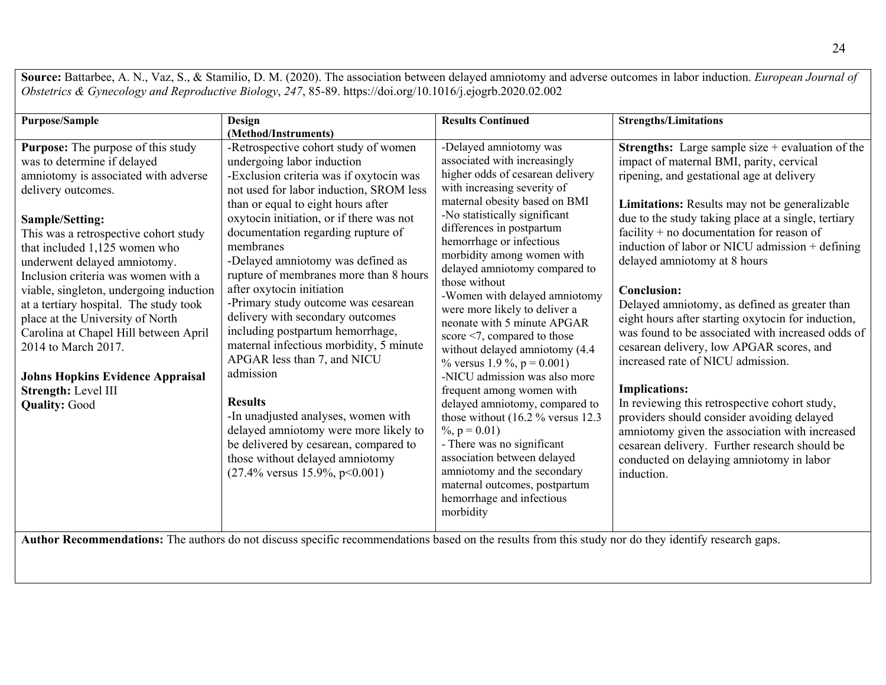**Source:** Battarbee, A. N., Vaz, S., & Stamilio, D. M. (2020). The association between delayed amniotomy and adverse outcomes in labor induction. *European Journal of Obstetrics & Gynecology and Reproductive Biology*, *247*, 85-89. https://doi.org/10.1016/j.ejogrb.2020.02.002

| <b>Purpose/Sample</b>                                                                                                                                                                                                                                                                                                                                                                                                                                                                                                                                                                         | Design                                                                                                                                                                                                                                                                                                                                                                                                                                                                                                                                                                                                                                                                                                                                                                                                                            | <b>Results Continued</b>                                                                                                                                                                                                                                                                                                                                                                                                                                                                                                                                                                                                                                                                                                                                                                                                                                                         | <b>Strengths/Limitations</b>                                                                                                                                                                                                                                                                                                                                                                                                                                                                                                                                                                                                                                                                                                                                                                                                                                                                                                                          |
|-----------------------------------------------------------------------------------------------------------------------------------------------------------------------------------------------------------------------------------------------------------------------------------------------------------------------------------------------------------------------------------------------------------------------------------------------------------------------------------------------------------------------------------------------------------------------------------------------|-----------------------------------------------------------------------------------------------------------------------------------------------------------------------------------------------------------------------------------------------------------------------------------------------------------------------------------------------------------------------------------------------------------------------------------------------------------------------------------------------------------------------------------------------------------------------------------------------------------------------------------------------------------------------------------------------------------------------------------------------------------------------------------------------------------------------------------|----------------------------------------------------------------------------------------------------------------------------------------------------------------------------------------------------------------------------------------------------------------------------------------------------------------------------------------------------------------------------------------------------------------------------------------------------------------------------------------------------------------------------------------------------------------------------------------------------------------------------------------------------------------------------------------------------------------------------------------------------------------------------------------------------------------------------------------------------------------------------------|-------------------------------------------------------------------------------------------------------------------------------------------------------------------------------------------------------------------------------------------------------------------------------------------------------------------------------------------------------------------------------------------------------------------------------------------------------------------------------------------------------------------------------------------------------------------------------------------------------------------------------------------------------------------------------------------------------------------------------------------------------------------------------------------------------------------------------------------------------------------------------------------------------------------------------------------------------|
|                                                                                                                                                                                                                                                                                                                                                                                                                                                                                                                                                                                               | (Method/Instruments)                                                                                                                                                                                                                                                                                                                                                                                                                                                                                                                                                                                                                                                                                                                                                                                                              |                                                                                                                                                                                                                                                                                                                                                                                                                                                                                                                                                                                                                                                                                                                                                                                                                                                                                  |                                                                                                                                                                                                                                                                                                                                                                                                                                                                                                                                                                                                                                                                                                                                                                                                                                                                                                                                                       |
| <b>Purpose:</b> The purpose of this study<br>was to determine if delayed<br>amniotomy is associated with adverse<br>delivery outcomes.<br>Sample/Setting:<br>This was a retrospective cohort study<br>that included 1,125 women who<br>underwent delayed amniotomy.<br>Inclusion criteria was women with a<br>viable, singleton, undergoing induction<br>at a tertiary hospital. The study took<br>place at the University of North<br>Carolina at Chapel Hill between April<br>2014 to March 2017.<br><b>Johns Hopkins Evidence Appraisal</b><br>Strength: Level III<br><b>Quality: Good</b> | -Retrospective cohort study of women<br>undergoing labor induction<br>-Exclusion criteria was if oxytocin was<br>not used for labor induction, SROM less<br>than or equal to eight hours after<br>oxytocin initiation, or if there was not<br>documentation regarding rupture of<br>membranes<br>-Delayed amniotomy was defined as<br>rupture of membranes more than 8 hours<br>after oxytocin initiation<br>-Primary study outcome was cesarean<br>delivery with secondary outcomes<br>including postpartum hemorrhage,<br>maternal infectious morbidity, 5 minute<br>APGAR less than 7, and NICU<br>admission<br><b>Results</b><br>-In unadjusted analyses, women with<br>delayed amniotomy were more likely to<br>be delivered by cesarean, compared to<br>those without delayed amniotomy<br>$(27.4\%$ versus 15.9%, p<0.001) | -Delayed amniotomy was<br>associated with increasingly<br>higher odds of cesarean delivery<br>with increasing severity of<br>maternal obesity based on BMI<br>-No statistically significant<br>differences in postpartum<br>hemorrhage or infectious<br>morbidity among women with<br>delayed amniotomy compared to<br>those without<br>-Women with delayed amniotomy<br>were more likely to deliver a<br>neonate with 5 minute APGAR<br>score $\leq$ 7, compared to those<br>without delayed amniotomy (4.4<br>% versus 1.9 %, $p = 0.001$ )<br>-NICU admission was also more<br>frequent among women with<br>delayed amniotomy, compared to<br>those without $(16.2 % versus 12.3)$<br>$\%$ , p = 0.01)<br>- There was no significant<br>association between delayed<br>amniotomy and the secondary<br>maternal outcomes, postpartum<br>hemorrhage and infectious<br>morbidity | <b>Strengths:</b> Large sample size $+$ evaluation of the<br>impact of maternal BMI, parity, cervical<br>ripening, and gestational age at delivery<br>Limitations: Results may not be generalizable<br>due to the study taking place at a single, tertiary<br>facility $+$ no documentation for reason of<br>induction of labor or NICU admission $+$ defining<br>delayed amniotomy at 8 hours<br><b>Conclusion:</b><br>Delayed amniotomy, as defined as greater than<br>eight hours after starting oxytocin for induction,<br>was found to be associated with increased odds of<br>cesarean delivery, low APGAR scores, and<br>increased rate of NICU admission.<br><b>Implications:</b><br>In reviewing this retrospective cohort study,<br>providers should consider avoiding delayed<br>amniotomy given the association with increased<br>cesarean delivery. Further research should be<br>conducted on delaying amniotomy in labor<br>induction. |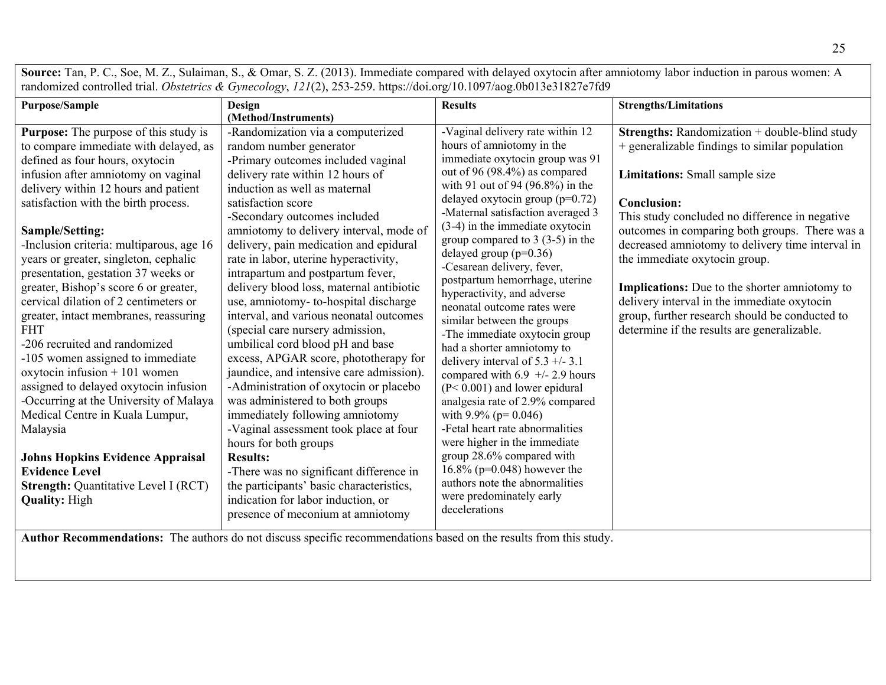**Source:** Tan, P. C., Soe, M. Z., Sulaiman, S., & Omar, S. Z. (2013). Immediate compared with delayed oxytocin after amniotomy labor induction in parous women: A randomized controlled trial. *Obstetrics & Gynecology*, *121*(2), 253-259. https://doi.org/10.1097/aog.0b013e31827e7fd9

| <b>Purpose/Sample</b>                                                                                                                                                                                                                                                                                                                                                                                                                                                                                                                                                                                                                                                                                                                                                                                                                                                                                                | <b>Design</b>                                                                                                                                                                                                                                                                                                                                                                                                                                                                                                                                                                                                                                                                                                                                                                                                                                                                                                                                                                                                                                                         | <b>Results</b>                                                                                                                                                                                                                                                                                                                                                                                                                                                                                                                                                                                                                                                                                                                                                                                                                                                                                                                                                             | <b>Strengths/Limitations</b>                                                                                                                                                                                                                                                                                                                                                                                                                                                                                                                      |  |  |
|----------------------------------------------------------------------------------------------------------------------------------------------------------------------------------------------------------------------------------------------------------------------------------------------------------------------------------------------------------------------------------------------------------------------------------------------------------------------------------------------------------------------------------------------------------------------------------------------------------------------------------------------------------------------------------------------------------------------------------------------------------------------------------------------------------------------------------------------------------------------------------------------------------------------|-----------------------------------------------------------------------------------------------------------------------------------------------------------------------------------------------------------------------------------------------------------------------------------------------------------------------------------------------------------------------------------------------------------------------------------------------------------------------------------------------------------------------------------------------------------------------------------------------------------------------------------------------------------------------------------------------------------------------------------------------------------------------------------------------------------------------------------------------------------------------------------------------------------------------------------------------------------------------------------------------------------------------------------------------------------------------|----------------------------------------------------------------------------------------------------------------------------------------------------------------------------------------------------------------------------------------------------------------------------------------------------------------------------------------------------------------------------------------------------------------------------------------------------------------------------------------------------------------------------------------------------------------------------------------------------------------------------------------------------------------------------------------------------------------------------------------------------------------------------------------------------------------------------------------------------------------------------------------------------------------------------------------------------------------------------|---------------------------------------------------------------------------------------------------------------------------------------------------------------------------------------------------------------------------------------------------------------------------------------------------------------------------------------------------------------------------------------------------------------------------------------------------------------------------------------------------------------------------------------------------|--|--|
|                                                                                                                                                                                                                                                                                                                                                                                                                                                                                                                                                                                                                                                                                                                                                                                                                                                                                                                      | (Method/Instruments)                                                                                                                                                                                                                                                                                                                                                                                                                                                                                                                                                                                                                                                                                                                                                                                                                                                                                                                                                                                                                                                  |                                                                                                                                                                                                                                                                                                                                                                                                                                                                                                                                                                                                                                                                                                                                                                                                                                                                                                                                                                            |                                                                                                                                                                                                                                                                                                                                                                                                                                                                                                                                                   |  |  |
| Purpose: The purpose of this study is<br>to compare immediate with delayed, as<br>defined as four hours, oxytocin<br>infusion after amniotomy on vaginal<br>delivery within 12 hours and patient<br>satisfaction with the birth process.<br>Sample/Setting:<br>-Inclusion criteria: multiparous, age 16<br>years or greater, singleton, cephalic<br>presentation, gestation 37 weeks or<br>greater, Bishop's score 6 or greater,<br>cervical dilation of 2 centimeters or<br>greater, intact membranes, reassuring<br><b>FHT</b><br>-206 recruited and randomized<br>-105 women assigned to immediate<br>oxytocin infusion $+101$ women<br>assigned to delayed oxytocin infusion<br>-Occurring at the University of Malaya<br>Medical Centre in Kuala Lumpur,<br>Malaysia<br><b>Johns Hopkins Evidence Appraisal</b><br><b>Evidence Level</b><br><b>Strength: Quantitative Level I (RCT)</b><br><b>Quality: High</b> | -Randomization via a computerized<br>random number generator<br>-Primary outcomes included vaginal<br>delivery rate within 12 hours of<br>induction as well as maternal<br>satisfaction score<br>-Secondary outcomes included<br>amniotomy to delivery interval, mode of<br>delivery, pain medication and epidural<br>rate in labor, uterine hyperactivity,<br>intrapartum and postpartum fever,<br>delivery blood loss, maternal antibiotic<br>use, amniotomy- to-hospital discharge<br>interval, and various neonatal outcomes<br>(special care nursery admission,<br>umbilical cord blood pH and base<br>excess, APGAR score, phototherapy for<br>jaundice, and intensive care admission).<br>-Administration of oxytocin or placebo<br>was administered to both groups<br>immediately following amniotomy<br>-Vaginal assessment took place at four<br>hours for both groups<br><b>Results:</b><br>-There was no significant difference in<br>the participants' basic characteristics,<br>indication for labor induction, or<br>presence of meconium at amniotomy | -Vaginal delivery rate within 12<br>hours of amniotomy in the<br>immediate oxytocin group was 91<br>out of 96 (98.4%) as compared<br>with 91 out of 94 (96.8%) in the<br>delayed oxytocin group (p=0.72)<br>-Maternal satisfaction averaged 3<br>$(3-4)$ in the immediate oxytocin<br>group compared to $3(3-5)$ in the<br>delayed group (p=0.36)<br>-Cesarean delivery, fever,<br>postpartum hemorrhage, uterine<br>hyperactivity, and adverse<br>neonatal outcome rates were<br>similar between the groups<br>-The immediate oxytocin group<br>had a shorter amniotomy to<br>delivery interval of $5.3 +/-3.1$<br>compared with $6.9$ +/- 2.9 hours<br>$(P< 0.001)$ and lower epidural<br>analgesia rate of 2.9% compared<br>with 9.9% ( $p = 0.046$ )<br>-Fetal heart rate abnormalities<br>were higher in the immediate<br>group 28.6% compared with<br>16.8% ( $p=0.048$ ) however the<br>authors note the abnormalities<br>were predominately early<br>decelerations | Strengths: Randomization + double-blind study<br>+ generalizable findings to similar population<br>Limitations: Small sample size<br><b>Conclusion:</b><br>This study concluded no difference in negative<br>outcomes in comparing both groups. There was a<br>decreased amniotomy to delivery time interval in<br>the immediate oxytocin group.<br>Implications: Due to the shorter amniotomy to<br>delivery interval in the immediate oxytocin<br>group, further research should be conducted to<br>determine if the results are generalizable. |  |  |
|                                                                                                                                                                                                                                                                                                                                                                                                                                                                                                                                                                                                                                                                                                                                                                                                                                                                                                                      | Author Recommendations: The authors do not discuss specific recommendations based on the results from this study.                                                                                                                                                                                                                                                                                                                                                                                                                                                                                                                                                                                                                                                                                                                                                                                                                                                                                                                                                     |                                                                                                                                                                                                                                                                                                                                                                                                                                                                                                                                                                                                                                                                                                                                                                                                                                                                                                                                                                            |                                                                                                                                                                                                                                                                                                                                                                                                                                                                                                                                                   |  |  |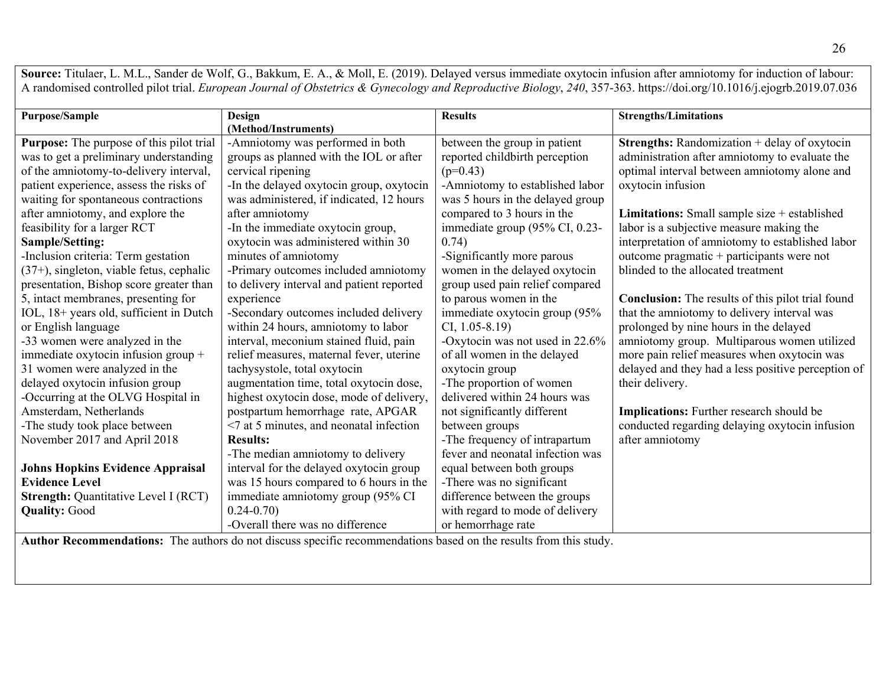Source: Titulaer, L. M.L., Sander de Wolf, G., Bakkum, E. A., & Moll, E. (2019). Delayed versus immediate oxytocin infusion after amniotomy for induction of labour: A randomised controlled pilot trial. *European Journal of Obstetrics & Gynecology and Reproductive Biology*, *240*, 357-363. https://doi.org/10.1016/j.ejogrb.2019.07.036

| <b>Purpose/Sample</b>                           | Design                                    | <b>Results</b>                   | <b>Strengths/Limitations</b>                          |
|-------------------------------------------------|-------------------------------------------|----------------------------------|-------------------------------------------------------|
|                                                 | (Method/Instruments)                      |                                  |                                                       |
| <b>Purpose:</b> The purpose of this pilot trial | -Amniotomy was performed in both          | between the group in patient     | <b>Strengths:</b> Randomization + delay of oxytocin   |
| was to get a preliminary understanding          | groups as planned with the IOL or after   | reported childbirth perception   | administration after amniotomy to evaluate the        |
| of the amniotomy-to-delivery interval,          | cervical ripening                         | $(p=0.43)$                       | optimal interval between amniotomy alone and          |
| patient experience, assess the risks of         | -In the delayed oxytocin group, oxytocin  | -Amniotomy to established labor  | oxytocin infusion                                     |
| waiting for spontaneous contractions            | was administered, if indicated, 12 hours  | was 5 hours in the delayed group |                                                       |
| after amniotomy, and explore the                | after amniotomy                           | compared to 3 hours in the       | <b>Limitations:</b> Small sample size $+$ established |
| feasibility for a larger RCT                    | -In the immediate oxytocin group,         | immediate group (95% CI, 0.23-   | labor is a subjective measure making the              |
| Sample/Setting:                                 | oxytocin was administered within 30       | 0.74)                            | interpretation of amniotomy to established labor      |
| -Inclusion criteria: Term gestation             | minutes of amniotomy                      | -Significantly more parous       | outcome pragmatic + participants were not             |
| $(37+)$ , singleton, viable fetus, cephalic     | -Primary outcomes included amniotomy      | women in the delayed oxytocin    | blinded to the allocated treatment                    |
| presentation, Bishop score greater than         | to delivery interval and patient reported | group used pain relief compared  |                                                       |
| 5, intact membranes, presenting for             | experience                                | to parous women in the           | Conclusion: The results of this pilot trial found     |
| IOL, 18+ years old, sufficient in Dutch         | -Secondary outcomes included delivery     | immediate oxytocin group (95%    | that the amniotomy to delivery interval was           |
| or English language                             | within 24 hours, amniotomy to labor       | $CI, 1.05 - 8.19$                | prolonged by nine hours in the delayed                |
| -33 women were analyzed in the                  | interval, meconium stained fluid, pain    | -Oxytocin was not used in 22.6%  | amniotomy group. Multiparous women utilized           |
| immediate oxytocin infusion group +             | relief measures, maternal fever, uterine  | of all women in the delayed      | more pain relief measures when oxytocin was           |
| 31 women were analyzed in the                   | tachysystole, total oxytocin              | oxytocin group                   | delayed and they had a less positive perception of    |
| delayed oxytocin infusion group                 | augmentation time, total oxytocin dose,   | -The proportion of women         | their delivery.                                       |
| -Occurring at the OLVG Hospital in              | highest oxytocin dose, mode of delivery,  | delivered within 24 hours was    |                                                       |
| Amsterdam, Netherlands                          | postpartum hemorrhage rate, APGAR         | not significantly different      | <b>Implications:</b> Further research should be       |
| -The study took place between                   | <7 at 5 minutes, and neonatal infection   | between groups                   | conducted regarding delaying oxytocin infusion        |
| November 2017 and April 2018                    | <b>Results:</b>                           | -The frequency of intrapartum    | after amniotomy                                       |
|                                                 | -The median amniotomy to delivery         | fever and neonatal infection was |                                                       |
| <b>Johns Hopkins Evidence Appraisal</b>         | interval for the delayed oxytocin group   | equal between both groups        |                                                       |
| <b>Evidence Level</b>                           | was 15 hours compared to 6 hours in the   | -There was no significant        |                                                       |
| <b>Strength: Quantitative Level I (RCT)</b>     | immediate amniotomy group (95% CI         | difference between the groups    |                                                       |
| <b>Quality: Good</b>                            | $0.24 - 0.70$                             | with regard to mode of delivery  |                                                       |
|                                                 | -Overall there was no difference          | or hemorrhage rate               |                                                       |

**Author Recommendations:** The authors do not discuss specific recommendations based on the results from this study.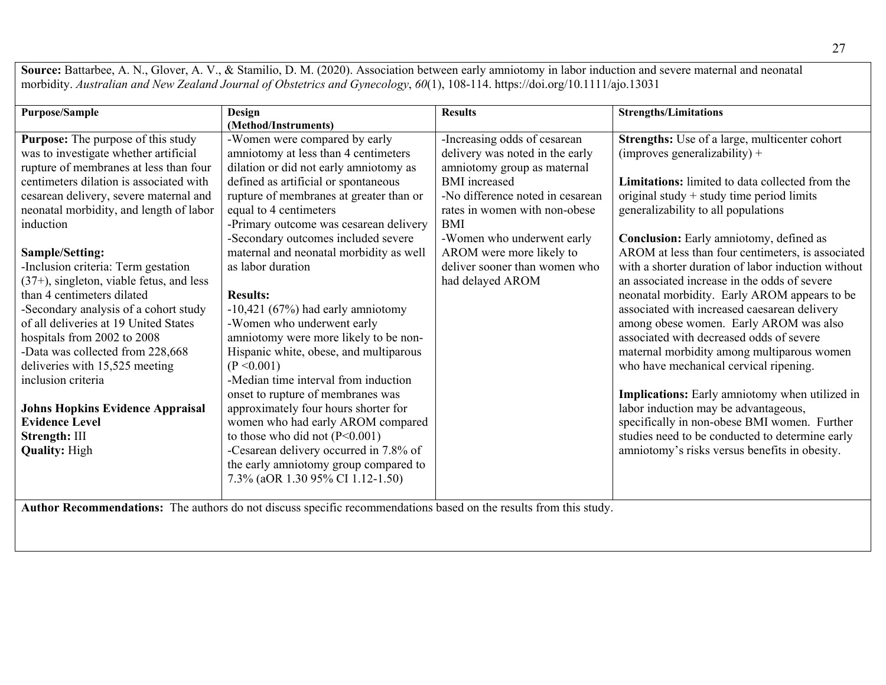Source: Battarbee, A. N., Glover, A. V., & Stamilio, D. M. (2020). Association between early amniotomy in labor induction and severe maternal and neonatal morbidity. *Australian and New Zealand Journal of Obstetrics and Gynecology*, *60*(1), 108-114. https://doi.org/10.1111/ajo.13031

| <b>Purpose/Sample</b>                    | Design                                  | <b>Results</b>                   | <b>Strengths/Limitations</b>                           |
|------------------------------------------|-----------------------------------------|----------------------------------|--------------------------------------------------------|
|                                          | (Method/Instruments)                    |                                  |                                                        |
| Purpose: The purpose of this study       | -Women were compared by early           | -Increasing odds of cesarean     | Strengths: Use of a large, multicenter cohort          |
| was to investigate whether artificial    | amniotomy at less than 4 centimeters    | delivery was noted in the early  | $(improves generalizability) +$                        |
| rupture of membranes at less than four   | dilation or did not early amniotomy as  | amniotomy group as maternal      |                                                        |
| centimeters dilation is associated with  | defined as artificial or spontaneous    | <b>BMI</b> increased             | <b>Limitations:</b> limited to data collected from the |
| cesarean delivery, severe maternal and   | rupture of membranes at greater than or | -No difference noted in cesarean | original study + study time period limits              |
| neonatal morbidity, and length of labor  | equal to 4 centimeters                  | rates in women with non-obese    | generalizability to all populations                    |
| induction                                | -Primary outcome was cesarean delivery  | <b>BMI</b>                       |                                                        |
|                                          | -Secondary outcomes included severe     | -Women who underwent early       | <b>Conclusion:</b> Early amniotomy, defined as         |
| <b>Sample/Setting:</b>                   | maternal and neonatal morbidity as well | AROM were more likely to         | AROM at less than four centimeters, is associated      |
| -Inclusion criteria: Term gestation      | as labor duration                       | deliver sooner than women who    | with a shorter duration of labor induction without     |
| (37+), singleton, viable fetus, and less |                                         | had delayed AROM                 | an associated increase in the odds of severe           |
| than 4 centimeters dilated               | <b>Results:</b>                         |                                  | neonatal morbidity. Early AROM appears to be           |
| -Secondary analysis of a cohort study    | $-10,421$ (67%) had early amniotomy     |                                  | associated with increased caesarean delivery           |
| of all deliveries at 19 United States    | -Women who underwent early              |                                  | among obese women. Early AROM was also                 |
| hospitals from 2002 to 2008              | amniotomy were more likely to be non-   |                                  | associated with decreased odds of severe               |
| -Data was collected from 228,668         | Hispanic white, obese, and multiparous  |                                  | maternal morbidity among multiparous women             |
| deliveries with 15,525 meeting           | (P < 0.001)                             |                                  | who have mechanical cervical ripening.                 |
| inclusion criteria                       | -Median time interval from induction    |                                  |                                                        |
|                                          | onset to rupture of membranes was       |                                  | Implications: Early amniotomy when utilized in         |
| <b>Johns Hopkins Evidence Appraisal</b>  | approximately four hours shorter for    |                                  | labor induction may be advantageous,                   |
| <b>Evidence Level</b>                    | women who had early AROM compared       |                                  | specifically in non-obese BMI women. Further           |
| Strength: III                            | to those who did not $(P<0.001)$        |                                  | studies need to be conducted to determine early        |
| <b>Quality: High</b>                     | -Cesarean delivery occurred in 7.8% of  |                                  | amniotomy's risks versus benefits in obesity.          |
|                                          | the early amniotomy group compared to   |                                  |                                                        |
|                                          | 7.3% (aOR 1.30 95% CI 1.12-1.50)        |                                  |                                                        |
|                                          |                                         |                                  |                                                        |

**Author Recommendations:** The authors do not discuss specific recommendations based on the results from this study.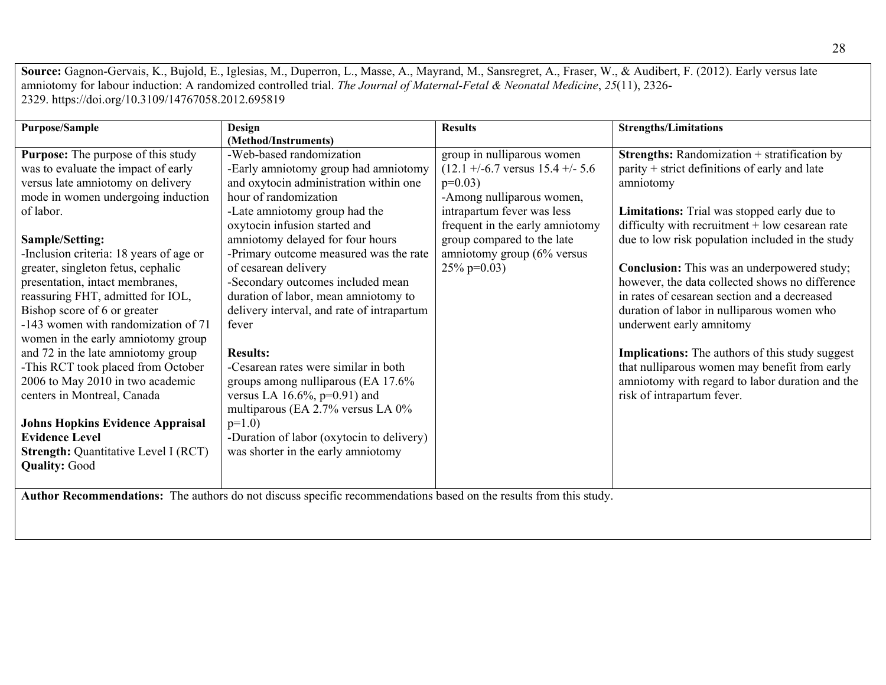**Source:** Gagnon-Gervais, K., Bujold, E., Iglesias, M., Duperron, L., Masse, A., Mayrand, M., Sansregret, A., Fraser, W., & Audibert, F. (2012). Early versus late amniotomy for labour induction: A randomized controlled trial. *The Journal of Maternal-Fetal & Neonatal Medicine*, *25*(11), 2326- 2329. https://doi.org/10.3109/14767058.2012.695819

| (Method/Instruments)<br>-Web-based randomization<br><b>Purpose:</b> The purpose of this study<br>group in nulliparous women<br><b>Strengths:</b> Randomization + stratification by<br>$(12.1 + (-6.7 \text{ versus } 15.4 + (-5.6$<br>parity + strict definitions of early and late<br>was to evaluate the impact of early<br>-Early amniotomy group had amniotomy<br>versus late amniotomy on delivery<br>and oxytocin administration within one<br>$p=0.03$ )<br>amniotomy<br>mode in women undergoing induction<br>hour of randomization<br>-Among nulliparous women,<br>of labor.<br>intrapartum fever was less<br>Limitations: Trial was stopped early due to<br>-Late amniotomy group had the<br>oxytocin infusion started and<br>frequent in the early amniotomy<br>difficulty with recruitment $+$ low cesarean rate<br>amniotomy delayed for four hours<br>due to low risk population included in the study<br>group compared to the late<br>Sample/Setting:<br>amniotomy group $(6\%$ versus<br>-Inclusion criteria: 18 years of age or<br>-Primary outcome measured was the rate<br>greater, singleton fetus, cephalic<br>of cesarean delivery<br>25% p= $0.03$ )<br><b>Conclusion:</b> This was an underpowered study;<br>however, the data collected shows no difference<br>-Secondary outcomes included mean<br>presentation, intact membranes,<br>reassuring FHT, admitted for IOL,<br>duration of labor, mean amniotomy to<br>in rates of cesarean section and a decreased<br>Bishop score of 6 or greater<br>delivery interval, and rate of intrapartum<br>duration of labor in nulliparous women who<br>-143 women with randomization of 71<br>underwent early amnitomy<br>fever<br>women in the early amniotomy group<br>and 72 in the late amniotomy group<br><b>Implications:</b> The authors of this study suggest<br><b>Results:</b><br>-This RCT took placed from October<br>-Cesarean rates were similar in both<br>that nulliparous women may benefit from early<br>2006 to May 2010 in two academic<br>amniotomy with regard to labor duration and the<br>groups among nulliparous (EA 17.6%<br>centers in Montreal, Canada<br>versus LA $16.6\%$ , p=0.91) and<br>risk of intrapartum fever.<br>multiparous (EA 2.7% versus LA 0% | <b>Purpose/Sample</b> | Design | <b>Results</b> | <b>Strengths/Limitations</b> |
|---------------------------------------------------------------------------------------------------------------------------------------------------------------------------------------------------------------------------------------------------------------------------------------------------------------------------------------------------------------------------------------------------------------------------------------------------------------------------------------------------------------------------------------------------------------------------------------------------------------------------------------------------------------------------------------------------------------------------------------------------------------------------------------------------------------------------------------------------------------------------------------------------------------------------------------------------------------------------------------------------------------------------------------------------------------------------------------------------------------------------------------------------------------------------------------------------------------------------------------------------------------------------------------------------------------------------------------------------------------------------------------------------------------------------------------------------------------------------------------------------------------------------------------------------------------------------------------------------------------------------------------------------------------------------------------------------------------------------------------------------------------------------------------------------------------------------------------------------------------------------------------------------------------------------------------------------------------------------------------------------------------------------------------------------------------------------------------------------------------------------------------------------------------------------------------------------------------------------------------------------------------|-----------------------|--------|----------------|------------------------------|
|                                                                                                                                                                                                                                                                                                                                                                                                                                                                                                                                                                                                                                                                                                                                                                                                                                                                                                                                                                                                                                                                                                                                                                                                                                                                                                                                                                                                                                                                                                                                                                                                                                                                                                                                                                                                                                                                                                                                                                                                                                                                                                                                                                                                                                                               |                       |        |                |                              |
| <b>Johns Hopkins Evidence Appraisal</b><br>$p=1.0$ )<br><b>Evidence Level</b><br>-Duration of labor (oxytocin to delivery)<br>was shorter in the early amniotomy<br><b>Strength: Quantitative Level I (RCT)</b><br><b>Quality: Good</b>                                                                                                                                                                                                                                                                                                                                                                                                                                                                                                                                                                                                                                                                                                                                                                                                                                                                                                                                                                                                                                                                                                                                                                                                                                                                                                                                                                                                                                                                                                                                                                                                                                                                                                                                                                                                                                                                                                                                                                                                                       |                       |        |                |                              |

**Author Recommendations:** The authors do not discuss specific recommendations based on the results from this study.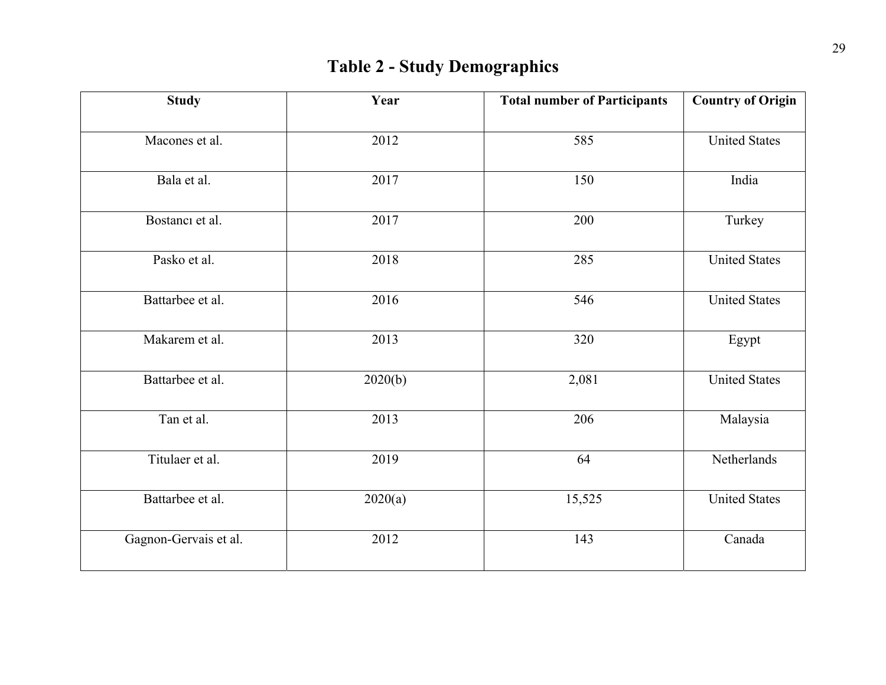# **Table 2 - Study Demographics**

| <b>Study</b>          | Year    | <b>Total number of Participants</b> | <b>Country of Origin</b> |
|-----------------------|---------|-------------------------------------|--------------------------|
| Macones et al.        | 2012    | 585                                 | <b>United States</b>     |
| Bala et al.           | 2017    | 150                                 | India                    |
| Bostanci et al.       | 2017    | 200                                 | Turkey                   |
| Pasko et al.          | 2018    | 285                                 | <b>United States</b>     |
| Battarbee et al.      | 2016    | 546                                 | <b>United States</b>     |
| Makarem et al.        | 2013    | 320                                 | Egypt                    |
| Battarbee et al.      | 2020(b) | 2,081                               | <b>United States</b>     |
| Tan et al.            | 2013    | 206                                 | Malaysia                 |
| Titulaer et al.       | 2019    | 64                                  | Netherlands              |
| Battarbee et al.      | 2020(a) | 15,525                              | <b>United States</b>     |
| Gagnon-Gervais et al. | 2012    | 143                                 | Canada                   |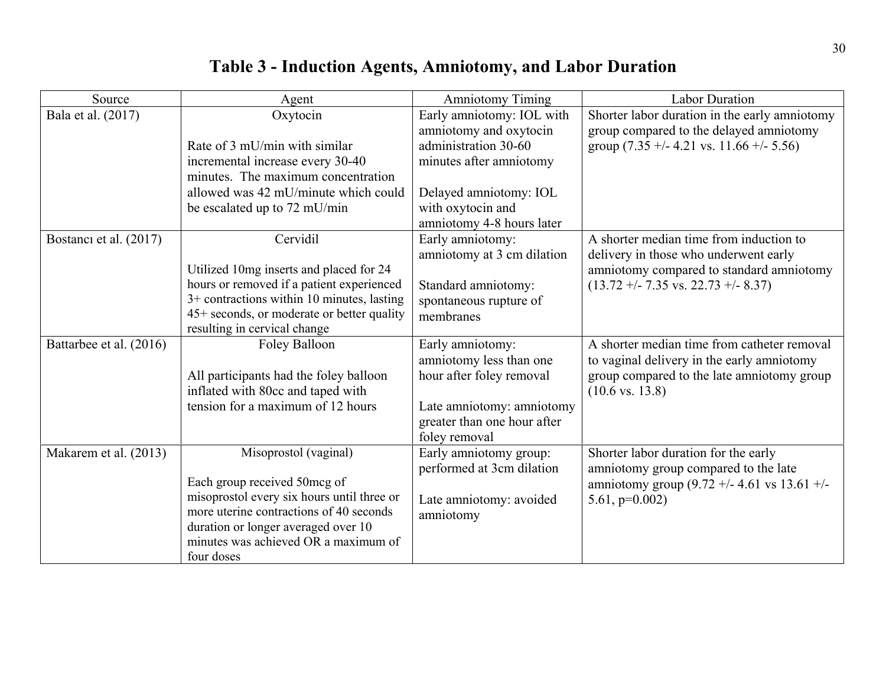# **Table 3 - Induction Agents, Amniotomy, and Labor Duration**

| Source                  | Agent                                                                  | <b>Amniotomy Timing</b>                             | <b>Labor Duration</b>                                |
|-------------------------|------------------------------------------------------------------------|-----------------------------------------------------|------------------------------------------------------|
| Bala et al. (2017)      | Oxytocin                                                               | Early amniotomy: IOL with                           | Shorter labor duration in the early amniotomy        |
|                         |                                                                        | amniotomy and oxytocin                              | group compared to the delayed amniotomy              |
|                         | Rate of 3 mU/min with similar                                          | administration 30-60                                | group $(7.35 + (-4.21 \text{ vs. } 11.66 + (-5.56))$ |
|                         | incremental increase every 30-40                                       | minutes after amniotomy                             |                                                      |
|                         | minutes. The maximum concentration                                     |                                                     |                                                      |
|                         | allowed was 42 mU/minute which could                                   | Delayed amniotomy: IOL                              |                                                      |
|                         | be escalated up to 72 mU/min                                           | with oxytocin and                                   |                                                      |
|                         |                                                                        | amniotomy 4-8 hours later                           |                                                      |
| Bostanci et al. (2017)  | Cervidil                                                               | Early amniotomy:                                    | A shorter median time from induction to              |
|                         |                                                                        | amniotomy at 3 cm dilation                          | delivery in those who underwent early                |
|                         | Utilized 10mg inserts and placed for 24                                |                                                     | amniotomy compared to standard amniotomy             |
|                         | hours or removed if a patient experienced                              | Standard amniotomy:                                 | $(13.72 + - 7.35 \text{ vs. } 22.73 + - 8.37)$       |
|                         | $3+$ contractions within 10 minutes, lasting                           | spontaneous rupture of                              |                                                      |
|                         | 45+ seconds, or moderate or better quality                             | membranes                                           |                                                      |
|                         | resulting in cervical change                                           |                                                     |                                                      |
| Battarbee et al. (2016) | Foley Balloon                                                          | Early amniotomy:                                    | A shorter median time from catheter removal          |
|                         |                                                                        | amniotomy less than one                             | to vaginal delivery in the early amniotomy           |
|                         | All participants had the foley balloon                                 | hour after foley removal                            | group compared to the late amniotomy group           |
|                         | inflated with 80cc and taped with<br>tension for a maximum of 12 hours |                                                     | $(10.6 \text{ vs. } 13.8)$                           |
|                         |                                                                        | Late amniotomy: amniotomy                           |                                                      |
|                         |                                                                        | greater than one hour after<br>foley removal        |                                                      |
| Makarem et al. (2013)   | Misoprostol (vaginal)                                                  |                                                     | Shorter labor duration for the early                 |
|                         |                                                                        | Early amniotomy group:<br>performed at 3cm dilation | amniotomy group compared to the late                 |
|                         | Each group received 50mcg of                                           |                                                     | amniotomy group (9.72 +/- 4.61 vs 13.61 +/-          |
|                         | misoprostol every six hours until three or                             | Late amniotomy: avoided                             | $5.61, p=0.002$                                      |
|                         | more uterine contractions of 40 seconds                                | amniotomy                                           |                                                      |
|                         | duration or longer averaged over 10                                    |                                                     |                                                      |
|                         | minutes was achieved OR a maximum of                                   |                                                     |                                                      |
|                         | four doses                                                             |                                                     |                                                      |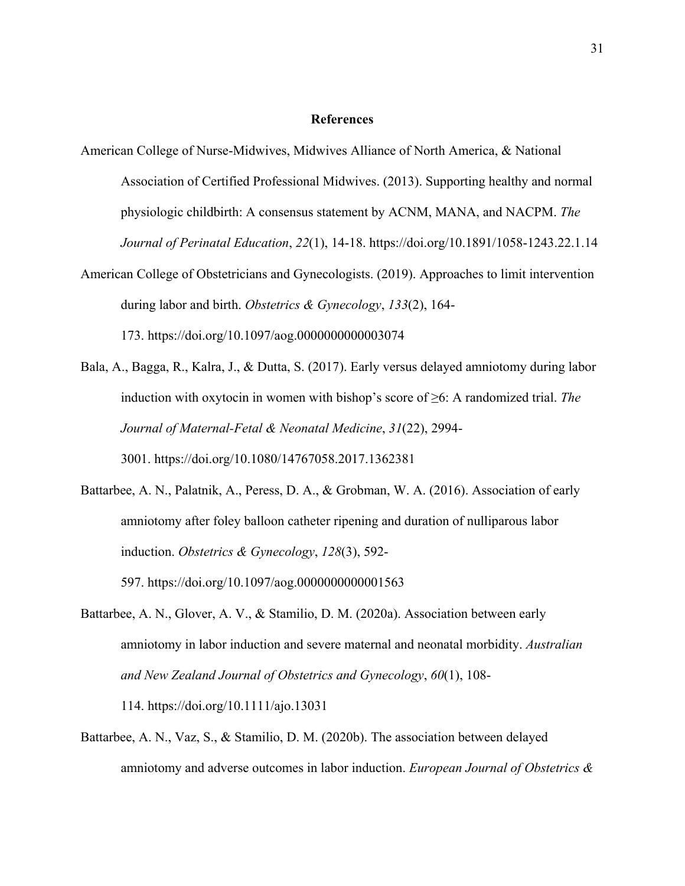#### **References**

American College of Nurse-Midwives, Midwives Alliance of North America, & National Association of Certified Professional Midwives. (2013). Supporting healthy and normal physiologic childbirth: A consensus statement by ACNM, MANA, and NACPM. *The Journal of Perinatal Education*, *22*(1), 14-18. https://doi.org/10.1891/1058-1243.22.1.14 American College of Obstetricians and Gynecologists. (2019). Approaches to limit intervention

during labor and birth. *Obstetrics & Gynecology*, *133*(2), 164- 173. https://doi.org/10.1097/aog.0000000000003074

- Bala, A., Bagga, R., Kalra, J., & Dutta, S. (2017). Early versus delayed amniotomy during labor induction with oxytocin in women with bishop's score of ≥6: A randomized trial. *The Journal of Maternal-Fetal & Neonatal Medicine*, *31*(22), 2994- 3001. https://doi.org/10.1080/14767058.2017.1362381
- Battarbee, A. N., Palatnik, A., Peress, D. A., & Grobman, W. A. (2016). Association of early amniotomy after foley balloon catheter ripening and duration of nulliparous labor induction. *Obstetrics & Gynecology*, *128*(3), 592- 597. https://doi.org/10.1097/aog.0000000000001563
- Battarbee, A. N., Glover, A. V., & Stamilio, D. M. (2020a). Association between early amniotomy in labor induction and severe maternal and neonatal morbidity. *Australian and New Zealand Journal of Obstetrics and Gynecology*, *60*(1), 108- 114. https://doi.org/10.1111/ajo.13031
- Battarbee, A. N., Vaz, S., & Stamilio, D. M. (2020b). The association between delayed amniotomy and adverse outcomes in labor induction. *European Journal of Obstetrics &*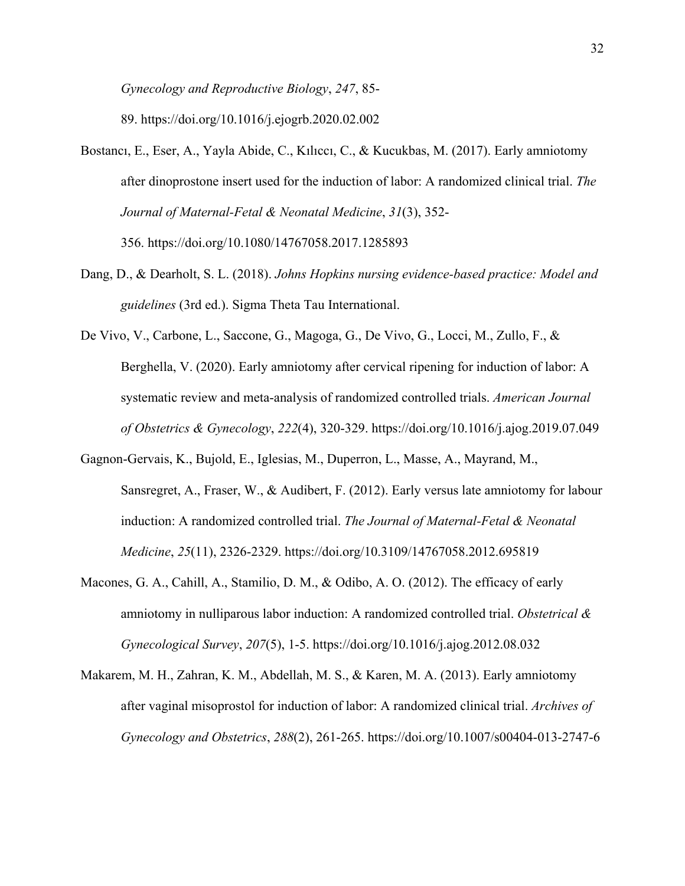*Gynecology and Reproductive Biology*, *247*, 85-

89. https://doi.org/10.1016/j.ejogrb.2020.02.002

- Bostancı, E., Eser, A., Yayla Abide, C., Kılıccı, C., & Kucukbas, M. (2017). Early amniotomy after dinoprostone insert used for the induction of labor: A randomized clinical trial. *The Journal of Maternal-Fetal & Neonatal Medicine*, *31*(3), 352- 356. https://doi.org/10.1080/14767058.2017.1285893
- Dang, D., & Dearholt, S. L. (2018). *Johns Hopkins nursing evidence-based practice: Model and guidelines* (3rd ed.). Sigma Theta Tau International.
- De Vivo, V., Carbone, L., Saccone, G., Magoga, G., De Vivo, G., Locci, M., Zullo, F., & Berghella, V. (2020). Early amniotomy after cervical ripening for induction of labor: A systematic review and meta-analysis of randomized controlled trials. *American Journal of Obstetrics & Gynecology*, *222*(4), 320-329. https://doi.org/10.1016/j.ajog.2019.07.049
- Gagnon-Gervais, K., Bujold, E., Iglesias, M., Duperron, L., Masse, A., Mayrand, M., Sansregret, A., Fraser, W., & Audibert, F. (2012). Early versus late amniotomy for labour induction: A randomized controlled trial. *The Journal of Maternal-Fetal & Neonatal Medicine*, *25*(11), 2326-2329. https://doi.org/10.3109/14767058.2012.695819
- Macones, G. A., Cahill, A., Stamilio, D. M., & Odibo, A. O. (2012). The efficacy of early amniotomy in nulliparous labor induction: A randomized controlled trial. *Obstetrical & Gynecological Survey*, *207*(5), 1-5. https://doi.org/10.1016/j.ajog.2012.08.032
- Makarem, M. H., Zahran, K. M., Abdellah, M. S., & Karen, M. A. (2013). Early amniotomy after vaginal misoprostol for induction of labor: A randomized clinical trial. *Archives of Gynecology and Obstetrics*, *288*(2), 261-265. https://doi.org/10.1007/s00404-013-2747-6